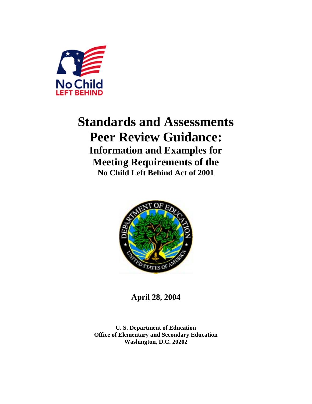

# **Standards and Assessments Peer Review Guidance: Information and Examples for Meeting Requirements of the No Child Left Behind Act of 2001**



**April 28, 2004** 

**U. S. Department of Education Office of Elementary and Secondary Education Washington, D.C. 20202**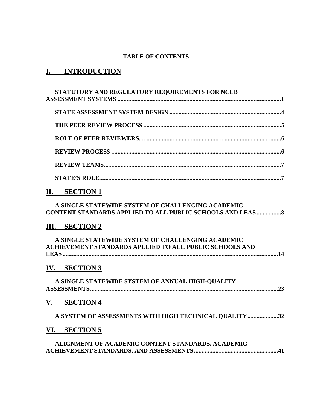### **TABLE OF CONTENTS**

## **I. INTRODUCTION**

| STATUTORY AND REGULATORY REQUIREMENTS FOR NCLB                                                                          |
|-------------------------------------------------------------------------------------------------------------------------|
|                                                                                                                         |
|                                                                                                                         |
|                                                                                                                         |
|                                                                                                                         |
|                                                                                                                         |
|                                                                                                                         |
| II. SECTION 1                                                                                                           |
| A SINGLE STATEWIDE SYSTEM OF CHALLENGING ACADEMIC<br><b>CONTENT STANDARDS APPLIED TO ALL PUBLIC SCHOOLS AND LEAS  8</b> |
| III. SECTION 2                                                                                                          |
| A SINGLE STATEWIDE SYSTEM OF CHALLENGING ACADEMIC<br>ACHIEVEMENT STANDARDS APLLIED TO ALL PUBLIC SCHOOLS AND            |
| IV. SECTION 3                                                                                                           |
| A SINGLE STATEWIDE SYSTEM OF ANNUAL HIGH-QUALITY                                                                        |
| V. SECTION 4                                                                                                            |
| A SYSTEM OF ASSESSMENTS WITH HIGH TECHNICAL QUALITY 32                                                                  |
| VI. SECTION 5                                                                                                           |
| ALIGNMENT OF ACADEMIC CONTENT STANDARDS, ACADEMIC                                                                       |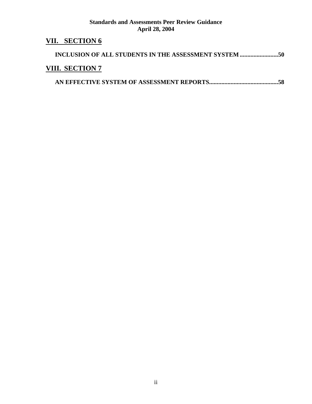## **VII. SECTION 6**

| <b>VIII. SECTION 7</b> |  |  |
|------------------------|--|--|

|--|--|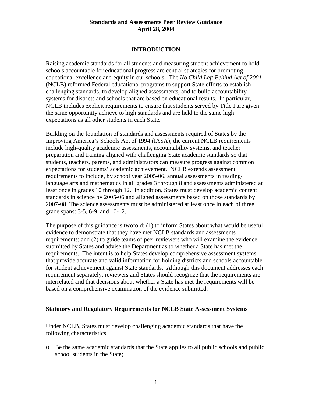### **INTRODUCTION**

Raising academic standards for all students and measuring student achievement to hold schools accountable for educational progress are central strategies for promoting educational excellence and equity in our schools. The *No Child Left Behind Act of 2001* (NCLB) reformed Federal educational programs to support State efforts to establish challenging standards, to develop aligned assessments, and to build accountability systems for districts and schools that are based on educational results. In particular, NCLB includes explicit requirements to ensure that students served by Title I are given the same opportunity achieve to high standards and are held to the same high expectations as all other students in each State.

Building on the foundation of standards and assessments required of States by the Improving America's Schools Act of 1994 (IASA), the current NCLB requirements include high-quality academic assessments, accountability systems, and teacher preparation and training aligned with challenging State academic standards so that students, teachers, parents, and administrators can measure progress against common expectations for students' academic achievement. NCLB extends assessment requirements to include, by school year 2005-06, annual assessments in reading/ language arts and mathematics in all grades 3 through 8 and assessments administered at least once in grades 10 through 12. In addition, States must develop academic content standards in science by 2005-06 and aligned assessments based on those standards by 2007-08. The science assessments must be administered at least once in each of three grade spans: 3-5, 6-9, and 10-12.

The purpose of this guidance is twofold: (1) to inform States about what would be useful evidence to demonstrate that they have met NCLB standards and assessments requirements; and (2) to guide teams of peer reviewers who will examine the evidence submitted by States and advise the Department as to whether a State has met the requirements. The intent is to help States develop comprehensive assessment systems that provide accurate and valid information for holding districts and schools accountable for student achievement against State standards. Although this document addresses each requirement separately, reviewers and States should recognize that the requirements are interrelated and that decisions about whether a State has met the requirements will be based on a comprehensive examination of the evidence submitted.

#### **Statutory and Regulatory Requirements for NCLB State Assessment Systems**

Under NCLB, States must develop challenging academic standards that have the following characteristics:

o Be the same academic standards that the State applies to all public schools and public school students in the State;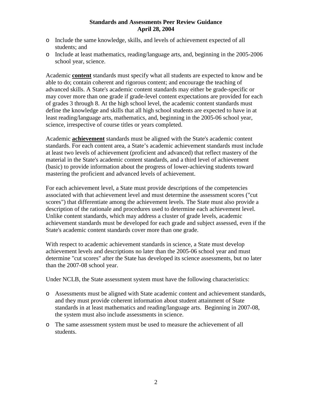- o Include the same knowledge, skills, and levels of achievement expected of all students; and
- o Include at least mathematics, reading/language arts, and, beginning in the 2005-2006 school year, science.

Academic **content** standards must specify what all students are expected to know and be able to do; contain coherent and rigorous content; and encourage the teaching of advanced skills. A State's academic content standards may either be grade-specific or may cover more than one grade if grade-level content expectations are provided for each of grades 3 through 8. At the high school level, the academic content standards must define the knowledge and skills that all high school students are expected to have in at least reading/language arts, mathematics, and, beginning in the 2005-06 school year, science, irrespective of course titles or years completed.

Academic **achievement** standards must be aligned with the State's academic content standards. For each content area, a State's academic achievement standards must include at least two levels of achievement (proficient and advanced) that reflect mastery of the material in the State's academic content standards, and a third level of achievement (basic) to provide information about the progress of lower-achieving students toward mastering the proficient and advanced levels of achievement.

For each achievement level, a State must provide descriptions of the competencies associated with that achievement level and must determine the assessment scores ("cut scores") that differentiate among the achievement levels. The State must also provide a description of the rationale and procedures used to determine each achievement level. Unlike content standards, which may address a cluster of grade levels, academic achievement standards must be developed for each grade and subject assessed, even if the State's academic content standards cover more than one grade.

With respect to academic achievement standards in science, a State must develop achievement levels and descriptions no later than the 2005-06 school year and must determine "cut scores" after the State has developed its science assessments, but no later than the 2007-08 school year.

Under NCLB, the State assessment system must have the following characteristics:

- o Assessments must be aligned with State academic content and achievement standards, and they must provide coherent information about student attainment of State standards in at least mathematics and reading/language arts. Beginning in 2007-08, the system must also include assessments in science.
- o The same assessment system must be used to measure the achievement of all students.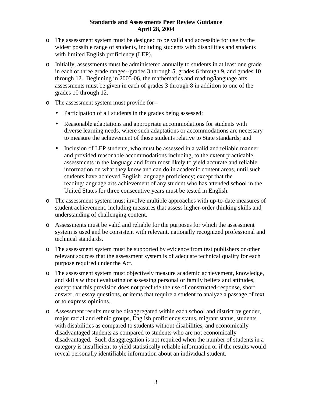- o The assessment system must be designed to be valid and accessible for use by the widest possible range of students, including students with disabilities and students with limited English proficiency (LEP).
- o Initially, assessments must be administered annually to students in at least one grade in each of three grade ranges--grades 3 through 5, grades 6 through 9, and grades 10 through 12. Beginning in 2005-06, the mathematics and reading/language arts assessments must be given in each of grades 3 through 8 in addition to one of the grades 10 through 12.
- o The assessment system must provide for--
	- Participation of all students in the grades being assessed;
	- Reasonable adaptations and appropriate accommodations for students with diverse learning needs, where such adaptations or accommodations are necessary to measure the achievement of those students relative to State standards; and
	- Inclusion of LEP students, who must be assessed in a valid and reliable manner and provided reasonable accommodations including, to the extent practicable, assessments in the language and form most likely to yield accurate and reliable information on what they know and can do in academic content areas, until such students have achieved English language proficiency; except that the reading/language arts achievement of any student who has attended school in the United States for three consecutive years must be tested in English.
- o The assessment system must involve multiple approaches with up-to-date measures of student achievement, including measures that assess higher-order thinking skills and understanding of challenging content.
- o Assessments must be valid and reliable for the purposes for which the assessment system is used and be consistent with relevant, nationally recognized professional and technical standards.
- o The assessment system must be supported by evidence from test publishers or other relevant sources that the assessment system is of adequate technical quality for each purpose required under the Act.
- o The assessment system must objectively measure academic achievement, knowledge, and skills without evaluating or assessing personal or family beliefs and attitudes, except that this provision does not preclude the use of constructed-response, short answer, or essay questions, or items that require a student to analyze a passage of text or to express opinions.
- o Assessment results must be disaggregated within each school and district by gender, major racial and ethnic groups, English proficiency status, migrant status, students with disabilities as compared to students without disabilities, and economically disadvantaged students as compared to students who are not economically disadvantaged. Such disaggregation is not required when the number of students in a category is insufficient to yield statistically reliable information or if the results would reveal personally identifiable information about an individual student.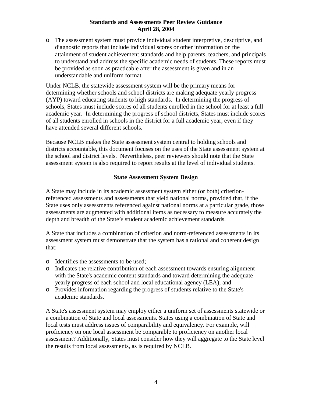o The assessment system must provide individual student interpretive, descriptive, and diagnostic reports that include individual scores or other information on the attainment of student achievement standards and help parents, teachers, and principals to understand and address the specific academic needs of students. These reports must be provided as soon as practicable after the assessment is given and in an understandable and uniform format.

Under NCLB, the statewide assessment system will be the primary means for determining whether schools and school districts are making adequate yearly progress (AYP) toward educating students to high standards. In determining the progress of schools, States must include scores of all students enrolled in the school for at least a full academic year. In determining the progress of school districts, States must include scores of all students enrolled in schools in the district for a full academic year, even if they have attended several different schools.

Because NCLB makes the State assessment system central to holding schools and districts accountable, this document focuses on the uses of the State assessment system at the school and district levels. Nevertheless, peer reviewers should note that the State assessment system is also required to report results at the level of individual students.

### **State Assessment System Design**

A State may include in its academic assessment system either (or both) criterionreferenced assessments and assessments that yield national norms, provided that, if the State uses only assessments referenced against national norms at a particular grade, those assessments are augmented with additional items as necessary to measure accurately the depth and breadth of the State's student academic achievement standards.

A State that includes a combination of criterion and norm-referenced assessments in its assessment system must demonstrate that the system has a rational and coherent design that:

- o Identifies the assessments to be used;
- o Indicates the relative contribution of each assessment towards ensuring alignment with the State's academic content standards and toward determining the adequate yearly progress of each school and local educational agency (LEA); and
- o Provides information regarding the progress of students relative to the State's academic standards.

A State's assessment system may employ either a uniform set of assessments statewide or a combination of State and local assessments. States using a combination of State and local tests must address issues of comparability and equivalency. For example, will proficiency on one local assessment be comparable to proficiency on another local assessment? Additionally, States must consider how they will aggregate to the State level the results from local assessments, as is required by NCLB.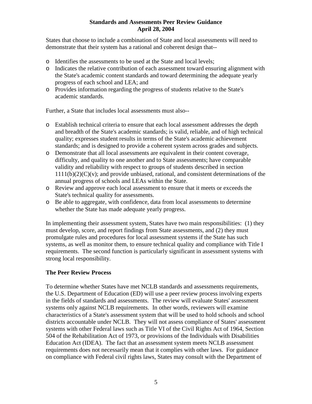States that choose to include a combination of State and local assessments will need to demonstrate that their system has a rational and coherent design that--

- o Identifies the assessments to be used at the State and local levels;
- o Indicates the relative contribution of each assessment toward ensuring alignment with the State's academic content standards and toward determining the adequate yearly progress of each school and LEA; and
- o Provides information regarding the progress of students relative to the State's academic standards.

Further, a State that includes local assessments must also--

- o Establish technical criteria to ensure that each local assessment addresses the depth and breadth of the State's academic standards; is valid, reliable, and of high technical quality; expresses student results in terms of the State's academic achievement standards; and is designed to provide a coherent system across grades and subjects.
- o Demonstrate that all local assessments are equivalent in their content coverage, difficulty, and quality to one another and to State assessments; have comparable validity and reliability with respect to groups of students described in section  $1111(b)(2)(C)(v)$ ; and provide unbiased, rational, and consistent determinations of the annual progress of schools and LEAs within the State.
- o Review and approve each local assessment to ensure that it meets or exceeds the State's technical quality for assessments.
- o Be able to aggregate, with confidence, data from local assessments to determine whether the State has made adequate yearly progress.

In implementing their assessment system, States have two main responsibilities: (1) they must develop, score, and report findings from State assessments, and (2) they must promulgate rules and procedures for local assessment systems if the State has such systems, as well as monitor them, to ensure technical quality and compliance with Title I requirements. The second function is particularly significant in assessment systems with strong local responsibility.

### **The Peer Review Process**

To determine whether States have met NCLB standards and assessments requirements, the U.S. Department of Education (ED) will use a peer review process involving experts in the fields of standards and assessments. The review will evaluate States' assessment systems only against NCLB requirements. In other words, reviewers will examine characteristics of a State's assessment system that will be used to hold schools and school districts accountable under NCLB. They will not assess compliance of States' assessment systems with other Federal laws such as Title VI of the Civil Rights Act of 1964, Section 504 of the Rehabilitation Act of 1973, or provisions of the Individuals with Disabilities Education Act (IDEA). The fact that an assessment system meets NCLB assessment requirements does not necessarily mean that it complies with other laws. For guidance on compliance with Federal civil rights laws, States may consult with the Department of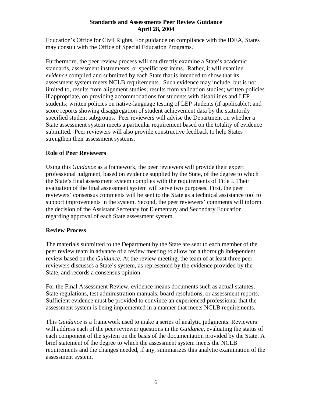Education's Office for Civil Rights. For guidance on compliance with the IDEA, States may consult with the Office of Special Education Programs.

Furthermore, the peer review process will not directly examine a State's academic standards, assessment instruments, or specific test items. Rather, it will examine *evidence* compiled and submitted by each State that is intended to show that its assessment system meets NCLB requirements. Such evidence may include, but is not limited to, results from alignment studies; results from validation studies; written policies if appropriate, on providing accommodations for students with disabilities and LEP students; written policies on native-language testing of LEP students (if applicable); and score reports showing disaggregation of student achievement data by the statutorily specified student subgroups. Peer reviewers will advise the Department on whether a State assessment system meets a particular requirement based on the totality of evidence submitted. Peer reviewers will also provide constructive feedback to help States strengthen their assessment systems.

### **Role of Peer Reviewers**

Using this *Guidance* as a framework, the peer reviewers will provide their expert professional judgment, based on evidence supplied by the State, of the degree to which the State's final assessment system complies with the requirements of Title I. Their evaluation of the final assessment system will serve two purposes. First, the peer reviewers' consensus comments will be sent to the State as a technical assistance tool to support improvements in the system. Second, the peer reviewers' comments will inform the decision of the Assistant Secretary for Elementary and Secondary Education regarding approval of each State assessment system.

### **Review Process**

The materials submitted to the Department by the State are sent to each member of the peer review team in advance of a review meeting to allow for a thorough independent review based on the *Guidance*. At the review meeting, the team of at least three peer reviewers discusses a State's system, as represented by the evidence provided by the State, and records a consensus opinion.

For the Final Assessment Review, evidence means documents such as actual statutes, State regulations, test administration manuals, board resolutions, or assessment reports. Sufficient evidence must be provided to convince an experienced professional that the assessment system is being implemented in a manner that meets NCLB requirements.

This *Guidance* is a framework used to make a series of analytic judgments. Reviewers will address each of the peer reviewer questions in the *Guidance*, evaluating the status of each component of the system on the basis of the documentation provided by the State. A brief statement of the degree to which the assessment system meets the NCLB requirements and the changes needed, if any, summarizes this analytic examination of the assessment system.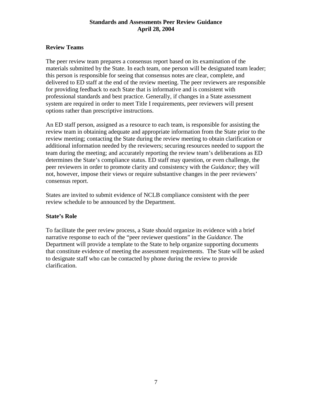### **Review Teams**

The peer review team prepares a consensus report based on its examination of the materials submitted by the State. In each team, one person will be designated team leader; this person is responsible for seeing that consensus notes are clear, complete, and delivered to ED staff at the end of the review meeting. The peer reviewers are responsible for providing feedback to each State that is informative and is consistent with professional standards and best practice. Generally, if changes in a State assessment system are required in order to meet Title I requirements, peer reviewers will present options rather than prescriptive instructions.

An ED staff person, assigned as a resource to each team, is responsible for assisting the review team in obtaining adequate and appropriate information from the State prior to the review meeting; contacting the State during the review meeting to obtain clarification or additional information needed by the reviewers; securing resources needed to support the team during the meeting; and accurately reporting the review team's deliberations as ED determines the State's compliance status. ED staff may question, or even challenge, the peer reviewers in order to promote clarity and consistency with the *Guidance*; they will not, however, impose their views or require substantive changes in the peer reviewers' consensus report.

States are invited to submit evidence of NCLB compliance consistent with the peer review schedule to be announced by the Department.

### **State's Role**

To facilitate the peer review process, a State should organize its evidence with a brief narrative response to each of the "peer reviewer questions" in the *Guidance*. The Department will provide a template to the State to help organize supporting documents that constitute evidence of meeting the assessment requirements. The State will be asked to designate staff who can be contacted by phone during the review to provide clarification.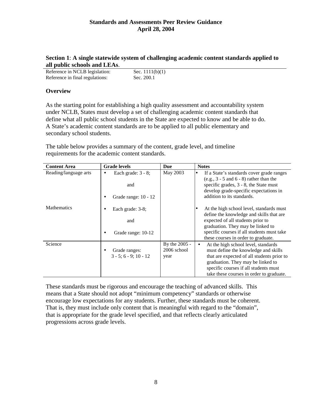### **Section 1**: **A single statewide system of challenging academic content standards applied to all public schools and LEAs**.

| Reference in NCLB legislation:  | Sec. $1111(b)(1)$ |
|---------------------------------|-------------------|
| Reference in final regulations: | Sec. 200.1        |

### **Overview**

As the starting point for establishing a high quality assessment and accountability system under NCLB, States must develop a set of challenging academic content standards that define what all public school students in the State are expected to know and be able to do. A State's academic content standards are to be applied to all public elementary and secondary school students.

The table below provides a summary of the content, grade level, and timeline requirements for the academic content standards.

| <b>Content Area</b>   | <b>Grade levels</b>             | Due           | <b>Notes</b>                                                                                                           |
|-----------------------|---------------------------------|---------------|------------------------------------------------------------------------------------------------------------------------|
| Reading/language arts | Each grade: $3 - 8$ ;<br>٠      | May 2003      | If a State's standards cover grade ranges<br>$\bullet$<br>$(e.g., 3 - 5 and 6 - 8)$ rather than the                    |
|                       | and                             |               | specific grades, $3 - 8$ , the State must<br>develop grade-specific expectations in                                    |
|                       | Grade range: 10 - 12<br>٠       |               | addition to its standards.                                                                                             |
| <b>Mathematics</b>    | Each grade: 3-8;<br>٠           |               | At the high school level, standards must<br>lo                                                                         |
|                       | and                             |               | define the knowledge and skills that are<br>expected of all students prior to                                          |
|                       | Grade range: 10-12<br>$\bullet$ |               | graduation. They may be linked to<br>specific courses if all students must take<br>these courses in order to graduate. |
| Science               |                                 | By the 2005 - | At the high school level, standards<br>$\bullet$                                                                       |
|                       | Grade ranges:<br>$\bullet$      | 2006 school   | must define the knowledge and skills                                                                                   |
|                       | $3 - 5: 6 - 9: 10 - 12$         | year          | that are expected of all students prior to                                                                             |
|                       |                                 |               | graduation. They may be linked to                                                                                      |
|                       |                                 |               | specific courses if all students must                                                                                  |
|                       |                                 |               | take these courses in order to graduate.                                                                               |

These standards must be rigorous and encourage the teaching of advanced skills. This means that a State should not adopt "minimum competency" standards or otherwise encourage low expectations for any students. Further, these standards must be coherent. That is, they must include only content that is meaningful with regard to the "domain", that is appropriate for the grade level specified, and that reflects clearly articulated progressions across grade levels.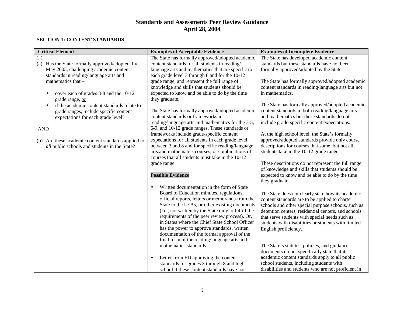#### **SECTION 1: CONTENT STANDARDS**

| <b>Critical Element</b>                                   | <b>Examples of Acceptable Evidence</b>                                                                | <b>Examples of Incomplete Evidence</b>                                                                    |
|-----------------------------------------------------------|-------------------------------------------------------------------------------------------------------|-----------------------------------------------------------------------------------------------------------|
| 1.1<br>Has the State formally approved/adopted, by<br>(a) | The State has formally approved/adopted academic<br>content standards for all students in reading/    | The State has developed academic content<br>standards but these standards have not been                   |
| May 2003, challenging academic content                    | language arts and mathematics that are specific to                                                    | formally approved/adopted by the State.                                                                   |
| standards in reading/language arts and                    | each grade level 3 through 8 and for the 10-12                                                        |                                                                                                           |
| mathematics that -                                        | grade range, and represent the full range of                                                          | The State has formally approved/adopted academic                                                          |
|                                                           | knowledge and skills that students should be                                                          | content standards in reading/language arts but not                                                        |
| cover each of grades 3-8 and the 10-12<br>$\bullet$       | expected to know and be able to do by the time                                                        | in mathematics.                                                                                           |
| grade range, or                                           | they graduate.                                                                                        |                                                                                                           |
| if the academic content standards relate to               |                                                                                                       | The State has formally approved/adopted academic                                                          |
| grade ranges, include specific content                    | The State has formally approved/adopted academic                                                      | content standards in both reading/language arts                                                           |
| expectations for each grade level?                        | content standards or frameworks in                                                                    | and mathematics but these standards do not                                                                |
|                                                           | reading/language arts and mathematics for the 3-5,<br>6-9, and 10-12 grade ranges. These standards or | include grade-specific content expectations.                                                              |
| <b>AND</b>                                                | frameworks include grade-specific content                                                             | At the high school level, the State's formally                                                            |
| (b) Are these academic content standards applied to       | expectations for all students in each grade level                                                     | approved/adopted standards provide only course                                                            |
| all public schools and students in the State?             | between 3 and 8 and for specific reading/language                                                     | descriptions for courses that some, but not all,                                                          |
|                                                           | arts and mathematics courses, or combinations of                                                      | students take in the 10-12 grade range.                                                                   |
|                                                           | courses that all students must take in the 10-12                                                      |                                                                                                           |
|                                                           | grade range.                                                                                          | These descriptions do not represent the full range                                                        |
|                                                           |                                                                                                       | of knowledge and skills that students should be                                                           |
|                                                           | <b>Possible Evidence</b>                                                                              | expected to know and be able to do by the time                                                            |
|                                                           |                                                                                                       | they graduate.                                                                                            |
|                                                           | Written documentation in the form of State<br>$\bullet$                                               |                                                                                                           |
|                                                           | Board of Education minutes, regulations,                                                              | The State does not clearly state how its academic                                                         |
|                                                           | official reports, letters or memoranda from the<br>State to the LEAs, or other existing documents     | content standards are to be applied to charter                                                            |
|                                                           | (i.e., not written by the State only to fulfill the                                                   | schools and other special purpose schools, such as<br>detention centers, residential centers, and schools |
|                                                           | requirements of the peer review process). Or,                                                         | that serve students with special needs such as                                                            |
|                                                           | in States where the Chief State School Officer                                                        | students with disabilities or students with limited                                                       |
|                                                           | has the power to approve standards, written                                                           | English proficiency.                                                                                      |
|                                                           | documentation of the formal approval of the                                                           |                                                                                                           |
|                                                           | final form of the reading/language arts and                                                           |                                                                                                           |
|                                                           | mathematics standards.                                                                                | The State's statutes, policies, and guidance                                                              |
|                                                           |                                                                                                       | documents do not specifically state that its                                                              |
|                                                           | Letter from ED approving the content<br>$\bullet$                                                     | academic content standards apply to all public                                                            |
|                                                           | standards for grades 3 through 8 and high                                                             | school students, including students with                                                                  |
|                                                           | school if these content standards have not                                                            | disabilities and students who are not proficient in                                                       |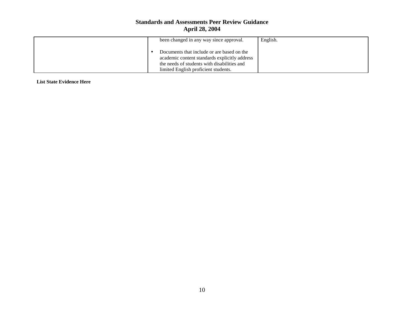| been changed in any way since approval.                                                                                                                                            | English. |
|------------------------------------------------------------------------------------------------------------------------------------------------------------------------------------|----------|
| Documents that include or are based on the<br>academic content standards explicitly address<br>the needs of students with disabilities and<br>limited English proficient students. |          |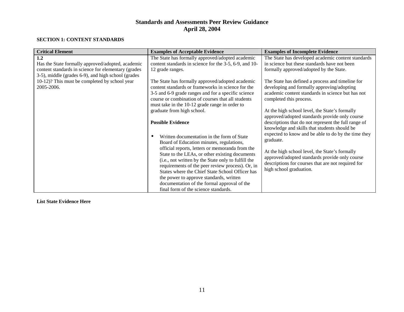#### **SECTION 1: CONTENT STANDARDS**

| <b>Critical Element</b>                             | <b>Examples of Acceptable Evidence</b>                 | <b>Examples of Incomplete Evidence</b>               |
|-----------------------------------------------------|--------------------------------------------------------|------------------------------------------------------|
| 1.2                                                 | The State has formally approved/adopted academic       | The State has developed academic content standards   |
| Has the State formally approved/adopted, academic   | content standards in science for the 3-5, 6-9, and 10- | in science but these standards have not been         |
| content standards in science for elementary (grades | 12 grade ranges.                                       | formally approved/adopted by the State.              |
| 3-5), middle (grades 6-9), and high school (grades  |                                                        |                                                      |
| 10-12)? This must be completed by school year       | The State has formally approved/adopted academic       | The State has defined a process and timeline for     |
| 2005-2006.                                          | content standards or frameworks in science for the     | developing and formally approving/adopting           |
|                                                     | 3-5 and 6-9 grade ranges and for a specific science    | academic content standards in science but has not    |
|                                                     | course or combination of courses that all students     | completed this process.                              |
|                                                     | must take in the 10-12 grade range in order to         |                                                      |
|                                                     | graduate from high school.                             | At the high school level, the State's formally       |
|                                                     |                                                        | approved/adopted standards provide only course       |
|                                                     | <b>Possible Evidence</b>                               | descriptions that do not represent the full range of |
|                                                     |                                                        | knowledge and skills that students should be         |
|                                                     | Written documentation in the form of State             | expected to know and be able to do by the time they  |
|                                                     | Board of Education minutes, regulations,               | graduate.                                            |
|                                                     | official reports, letters or memoranda from the        |                                                      |
|                                                     | State to the LEAs, or other existing documents         | At the high school level, the State's formally       |
|                                                     | (i.e., not written by the State only to fulfill the    | approved/adopted standards provide only course       |
|                                                     | requirements of the peer review process). Or, in       | descriptions for courses that are not required for   |
|                                                     | States where the Chief State School Officer has        | high school graduation.                              |
|                                                     | the power to approve standards, written                |                                                      |
|                                                     | documentation of the formal approval of the            |                                                      |
|                                                     | final form of the science standards.                   |                                                      |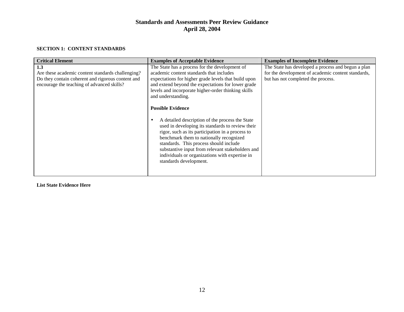#### **SECTION 1: CONTENT STANDARDS**

| <b>Critical Element</b>                                                                                                                                     | <b>Examples of Acceptable Evidence</b>                                                                                                                                                                                                                                                                                                                                                                                                                                                                                                                                                                                                                                                            | <b>Examples of Incomplete Evidence</b>                                                                                                         |
|-------------------------------------------------------------------------------------------------------------------------------------------------------------|---------------------------------------------------------------------------------------------------------------------------------------------------------------------------------------------------------------------------------------------------------------------------------------------------------------------------------------------------------------------------------------------------------------------------------------------------------------------------------------------------------------------------------------------------------------------------------------------------------------------------------------------------------------------------------------------------|------------------------------------------------------------------------------------------------------------------------------------------------|
| 1.3<br>Are these academic content standards challenging?<br>Do they contain coherent and rigorous content and<br>encourage the teaching of advanced skills? | The State has a process for the development of<br>academic content standards that includes<br>expectations for higher grade levels that build upon<br>and extend beyond the expectations for lower grade<br>levels and incorporate higher-order thinking skills<br>and understanding.<br><b>Possible Evidence</b><br>A detailed description of the process the State<br>used in developing its standards to review their<br>rigor, such as its participation in a process to<br>benchmark them to nationally recognized<br>standards. This process should include<br>substantive input from relevant stakeholders and<br>individuals or organizations with expertise in<br>standards development. | The State has developed a process and begun a plan<br>for the development of academic content standards,<br>but has not completed the process. |
|                                                                                                                                                             |                                                                                                                                                                                                                                                                                                                                                                                                                                                                                                                                                                                                                                                                                                   |                                                                                                                                                |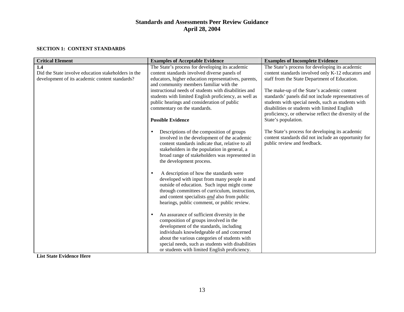#### **SECTION 1: CONTENT STANDARDS**

| <b>Critical Element</b>                                                                               | <b>Examples of Acceptable Evidence</b>                                                                                                                                                                                                                                                               | <b>Examples of Incomplete Evidence</b>                                                                                                 |
|-------------------------------------------------------------------------------------------------------|------------------------------------------------------------------------------------------------------------------------------------------------------------------------------------------------------------------------------------------------------------------------------------------------------|----------------------------------------------------------------------------------------------------------------------------------------|
| 1.4                                                                                                   | The State's process for developing its academic                                                                                                                                                                                                                                                      | The State's process for developing its academic                                                                                        |
| Did the State involve education stakeholders in the<br>development of its academic content standards? | content standards involved diverse panels of<br>educators, higher education representatives, parents,                                                                                                                                                                                                | content standards involved only K-12 educators and<br>staff from the State Department of Education.                                    |
|                                                                                                       | and community members familiar with the                                                                                                                                                                                                                                                              |                                                                                                                                        |
|                                                                                                       | instructional needs of students with disabilities and                                                                                                                                                                                                                                                | The make-up of the State's academic content                                                                                            |
|                                                                                                       | students with limited English proficiency, as well as<br>public hearings and consideration of public                                                                                                                                                                                                 | standards' panels did not include representatives of<br>students with special needs, such as students with                             |
|                                                                                                       | commentary on the standards.                                                                                                                                                                                                                                                                         | disabilities or students with limited English                                                                                          |
|                                                                                                       |                                                                                                                                                                                                                                                                                                      | proficiency, or otherwise reflect the diversity of the                                                                                 |
|                                                                                                       | <b>Possible Evidence</b>                                                                                                                                                                                                                                                                             | State's population.                                                                                                                    |
|                                                                                                       | Descriptions of the composition of groups<br>$\bullet$<br>involved in the development of the academic<br>content standards indicate that, relative to all<br>stakeholders in the population in general, a<br>broad range of stakeholders was represented in<br>the development process.              | The State's process for developing its academic<br>content standards did not include an opportunity for<br>public review and feedback. |
|                                                                                                       |                                                                                                                                                                                                                                                                                                      |                                                                                                                                        |
|                                                                                                       | A description of how the standards were<br>$\bullet$<br>developed with input from many people in and<br>outside of education. Such input might come<br>through committees of curriculum, instruction,<br>and content specialists and also from public<br>hearings, public comment, or public review. |                                                                                                                                        |
|                                                                                                       | An assurance of sufficient diversity in the<br>$\bullet$<br>composition of groups involved in the                                                                                                                                                                                                    |                                                                                                                                        |
|                                                                                                       | development of the standards, including                                                                                                                                                                                                                                                              |                                                                                                                                        |
|                                                                                                       | individuals knowledgeable of and concerned<br>about the various categories of students with                                                                                                                                                                                                          |                                                                                                                                        |
|                                                                                                       | special needs, such as students with disabilities                                                                                                                                                                                                                                                    |                                                                                                                                        |
|                                                                                                       | or students with limited English proficiency.                                                                                                                                                                                                                                                        |                                                                                                                                        |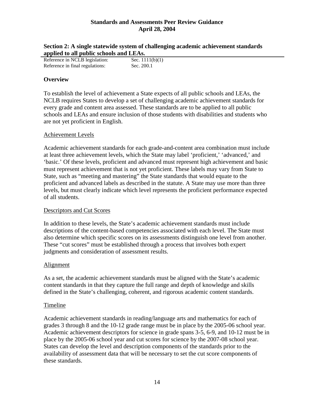| Section 2: A single statewide system of challenging academic achievement standards |  |
|------------------------------------------------------------------------------------|--|
| applied to all public schools and LEAs.                                            |  |

| Reference in NCLB legislation:  | Sec. $1111(b)(1)$ |
|---------------------------------|-------------------|
| Reference in final regulations: | Sec. 200.1        |

### **Overview**

To establish the level of achievement a State expects of all public schools and LEAs, the NCLB requires States to develop a set of challenging academic achievement standards for every grade and content area assessed. These standards are to be applied to all public schools and LEAs and ensure inclusion of those students with disabilities and students who are not yet proficient in English.

### Achievement Levels

Academic achievement standards for each grade-and-content area combination must include at least three achievement levels, which the State may label 'proficient,' 'advanced,' and 'basic.' Of these levels, proficient and advanced must represent high achievement and basic must represent achievement that is not yet proficient. These labels may vary from State to State, such as "meeting and mastering" the State standards that would equate to the proficient and advanced labels as described in the statute. A State may use more than three levels, but must clearly indicate which level represents the proficient performance expected of all students.

### Descriptors and Cut Scores

In addition to these levels, the State's academic achievement standards must include descriptions of the content-based competencies associated with each level. The State must also determine which specific scores on its assessments distinguish one level from another. These "cut scores" must be established through a process that involves both expert judgments and consideration of assessment results.

### Alignment

As a set, the academic achievement standards must be aligned with the State's academic content standards in that they capture the full range and depth of knowledge and skills defined in the State's challenging, coherent, and rigorous academic content standards.

#### Timeline

Academic achievement standards in reading/language arts and mathematics for each of grades 3 through 8 and the 10-12 grade range must be in place by the 2005-06 school year. Academic achievement descriptors for science in grade spans 3-5, 6-9, and 10-12 must be in place by the 2005-06 school year and cut scores for science by the 2007-08 school year. States can develop the level and description components of the standards prior to the availability of assessment data that will be necessary to set the cut score components of these standards.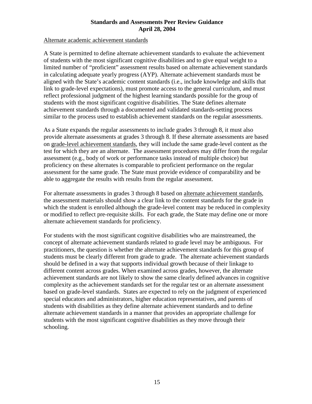#### Alternate academic achievement standards

A State is permitted to define alternate achievement standards to evaluate the achievement of students with the most significant cognitive disabilities and to give equal weight to a limited number of "proficient" assessment results based on alternate achievement standards in calculating adequate yearly progress (AYP). Alternate achievement standards must be aligned with the State's academic content standards (i.e., include knowledge and skills that link to grade-level expectations), must promote access to the general curriculum, and must reflect professional judgment of the highest learning standards possible for the group of students with the most significant cognitive disabilities. The State defines alternate achievement standards through a documented and validated standards-setting process similar to the process used to establish achievement standards on the regular assessments.

As a State expands the regular assessments to include grades 3 through 8, it must also provide alternate assessments at grades 3 through 8. If these alternate assessments are based on grade-level achievement standards, they will include the same grade-level content as the test for which they are an alternate. The assessment procedures may differ from the regular assessment (e.g., body of work or performance tasks instead of multiple choice) but proficiency on these alternates is comparable to proficient performance on the regular assessment for the same grade. The State must provide evidence of comparability and be able to aggregate the results with results from the regular assessment.

For alternate assessments in grades 3 through 8 based on alternate achievement standards, the assessment materials should show a clear link to the content standards for the grade in which the student is enrolled although the grade-level content may be reduced in complexity or modified to reflect pre-requisite skills. For each grade, the State may define one or more alternate achievement standards for proficiency.

For students with the most significant cognitive disabilities who are mainstreamed, the concept of alternate achievement standards related to grade level may be ambiguous. For practitioners, the question is whether the alternate achievement standards for this group of students must be clearly different from grade to grade. The alternate achievement standards should be defined in a way that supports individual growth because of their linkage to different content across grades. When examined across grades, however, the alternate achievement standards are not likely to show the same clearly defined advances in cognitive complexity as the achievement standards set for the regular test or an alternate assessment based on grade-level standards. States are expected to rely on the judgment of experienced special educators and administrators, higher education representatives, and parents of students with disabilities as they define alternate achievement standards and to define alternate achievement standards in a manner that provides an appropriate challenge for students with the most significant cognitive disabilities as they move through their schooling.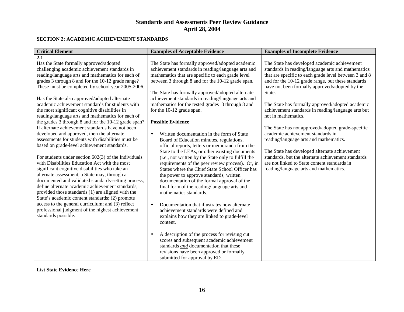#### **SECTION 2: ACADEMIC ACHIEVEMENT STANDARDS**

| <b>Critical Element</b>                                                 | <b>Examples of Acceptable Evidence</b>                                                                   | <b>Examples of Incomplete Evidence</b>                |
|-------------------------------------------------------------------------|----------------------------------------------------------------------------------------------------------|-------------------------------------------------------|
| 2.1                                                                     |                                                                                                          |                                                       |
| Has the State formally approved/adopted                                 | The State has formally approved/adopted academic                                                         | The State has developed academic achievement          |
| challenging academic achievement standards in                           | achievement standards in reading/language arts and                                                       | standards in reading/language arts and mathematics    |
| reading/language arts and mathematics for each of                       | mathematics that are specific to each grade level                                                        | that are specific to each grade level between 3 and 8 |
| grades 3 through 8 and for the 10-12 grade range?                       | between 3 through 8 and for the 10-12 grade span.                                                        | and for the 10-12 grade range, but these standards    |
| These must be completed by school year 2005-2006.                       |                                                                                                          | have not been formally approved/adopted by the        |
|                                                                         | The State has formally approved/adopted alternate                                                        | State.                                                |
| Has the State also approved/adopted alternate                           | achievement standards in reading/language arts and                                                       |                                                       |
| academic achievement standards for students with                        | mathematics for the tested grades 3 through 8 and                                                        | The State has formally approved/adopted academic      |
| the most significant cognitive disabilities in                          | for the 10-12 grade span.                                                                                | achievement standards in reading/language arts but    |
| reading/language arts and mathematics for each of                       |                                                                                                          | not in mathematics.                                   |
| the grades 3 through 8 and for the 10-12 grade span?                    | <b>Possible Evidence</b>                                                                                 |                                                       |
| If alternate achievement standards have not been                        |                                                                                                          | The State has not approved/adopted grade-specific     |
| developed and approved, then the alternate                              | Written documentation in the form of State<br>$\bullet$                                                  | academic achievement standards in                     |
| assessments for students with disabilities must be                      | Board of Education minutes, regulations,                                                                 | reading/language arts and mathematics.                |
| based on grade-level achievement standards.                             | official reports, letters or memoranda from the                                                          |                                                       |
|                                                                         | State to the LEAs, or other existing documents                                                           | The State has developed alternate achievement         |
| For students under section $602(3)$ of the Individuals                  | (i.e., not written by the State only to fulfill the                                                      | standards, but the alternate achievement standards    |
| with Disabilities Education Act with the most                           | requirements of the peer review process). Or, in                                                         | are not linked to State content standards in          |
| significant cognitive disabilities who take an                          | States where the Chief State School Officer has                                                          | reading/language arts and mathematics.                |
| alternate assessment, a State may, through a                            | the power to approve standards, written                                                                  |                                                       |
| documented and validated standards-setting process,                     | documentation of the formal approval of the                                                              |                                                       |
| define alternate academic achievement standards,                        | final form of the reading/language arts and                                                              |                                                       |
| provided those standards (1) are aligned with the                       | mathematics standards.                                                                                   |                                                       |
| State's academic content standards; (2) promote                         |                                                                                                          |                                                       |
| access to the general curriculum; and (3) reflect                       | Documentation that illustrates how alternate<br>$\bullet$                                                |                                                       |
| professional judgment of the highest achievement<br>standards possible. | achievement standards were defined and                                                                   |                                                       |
|                                                                         | explains how they are linked to grade-level                                                              |                                                       |
|                                                                         | content.                                                                                                 |                                                       |
|                                                                         |                                                                                                          |                                                       |
|                                                                         | A description of the process for revising cut<br>$\bullet$<br>scores and subsequent academic achievement |                                                       |
|                                                                         | standards and documentation that these                                                                   |                                                       |
|                                                                         | revisions have been approved or formally                                                                 |                                                       |
|                                                                         |                                                                                                          |                                                       |
|                                                                         | submitted for approval by ED.                                                                            |                                                       |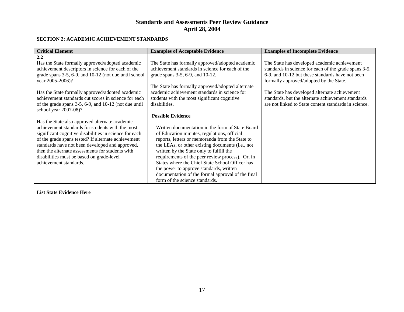#### **SECTION 2: ACADEMIC ACHIEVEMENT STANDARDS**

| <b>Critical Element</b>                                       | <b>Examples of Acceptable Evidence</b>            | <b>Examples of Incomplete Evidence</b>                |
|---------------------------------------------------------------|---------------------------------------------------|-------------------------------------------------------|
| 2.2                                                           |                                                   |                                                       |
| Has the State formally approved/adopted academic              | The State has formally approved/adopted academic  | The State has developed academic achievement          |
| achievement descriptors in science for each of the            | achievement standards in science for each of the  | standards in science for each of the grade spans 3-5, |
| grade spans 3-5, 6-9, and 10-12 (not due until school         | grade spans $3-5$ , $6-9$ , and $10-12$ .         | 6-9, and 10-12 but these standards have not been      |
| year 2005-2006)?                                              |                                                   | formally approved/adopted by the State.               |
|                                                               | The State has formally approved/adopted alternate |                                                       |
| Has the State formally approved/adopted academic              | academic achievement standards in science for     | The State has developed alternate achievement         |
| achievement standards cut scores in science for each          | students with the most significant cognitive      | standards, but the alternate achievement standards    |
| of the grade spans $3-5$ , $6-9$ , and $10-12$ (not due until | disabilities.                                     | are not linked to State content standards in science. |
| school year 2007-08)?                                         |                                                   |                                                       |
|                                                               | <b>Possible Evidence</b>                          |                                                       |
| Has the State also approved alternate academic                |                                                   |                                                       |
| achievement standards for students with the most              | Written documentation in the form of State Board  |                                                       |
| significant cognitive disabilities in science for each        | of Education minutes, regulations, official       |                                                       |
| of the grade spans tested? If alternate achievement           | reports, letters or memoranda from the State to   |                                                       |
| standards have not been developed and approved,               | the LEAs, or other existing documents (i.e., not  |                                                       |
| then the alternate assessments for students with              | written by the State only to fulfill the          |                                                       |
| disabilities must be based on grade-level                     | requirements of the peer review process). Or, in  |                                                       |
| achievement standards.                                        | States where the Chief State School Officer has   |                                                       |
|                                                               | the power to approve standards, written           |                                                       |
|                                                               | documentation of the formal approval of the final |                                                       |
|                                                               | form of the science standards.                    |                                                       |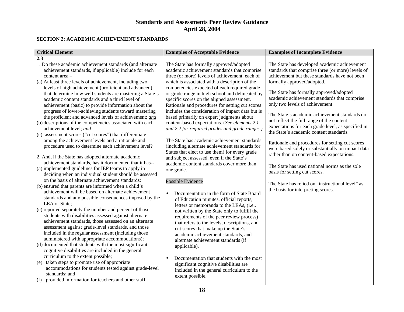#### **SECTION 2: ACADEMIC ACHIEVEMENT STANDARDS**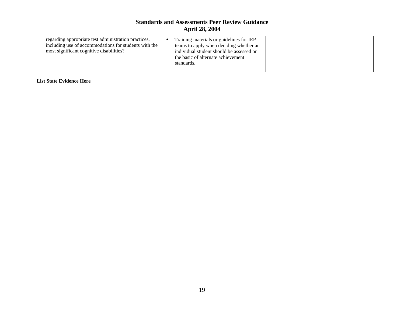| regarding appropriate test administration practices,<br>Training materials or guidelines for IEP<br>including use of accommodations for students with the<br>teams to apply when deciding whether an<br>most significant cognitive disabilities?<br>individual student should be assessed on<br>the basic of alternate achievement |  |            |  |
|------------------------------------------------------------------------------------------------------------------------------------------------------------------------------------------------------------------------------------------------------------------------------------------------------------------------------------|--|------------|--|
|                                                                                                                                                                                                                                                                                                                                    |  | standards. |  |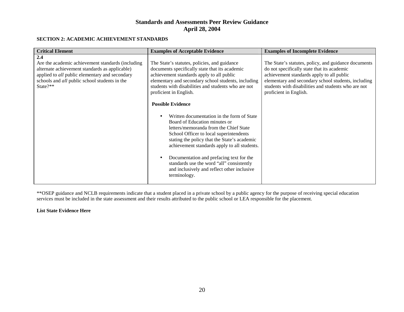#### **SECTION 2: ACADEMIC ACHIEVEMENT STANDARDS**

| <b>Critical Element</b>                                                                                                                                                                                                          | <b>Examples of Acceptable Evidence</b>                                                                                                                                                                                                                                                                                                                                                                                                                                                                                                                                                                                                                                                                                                      | <b>Examples of Incomplete Evidence</b>                                                                                                                                                                                                                                                   |
|----------------------------------------------------------------------------------------------------------------------------------------------------------------------------------------------------------------------------------|---------------------------------------------------------------------------------------------------------------------------------------------------------------------------------------------------------------------------------------------------------------------------------------------------------------------------------------------------------------------------------------------------------------------------------------------------------------------------------------------------------------------------------------------------------------------------------------------------------------------------------------------------------------------------------------------------------------------------------------------|------------------------------------------------------------------------------------------------------------------------------------------------------------------------------------------------------------------------------------------------------------------------------------------|
| 2.4<br>Are the academic achievement standards (including<br>alternate achievement standards as applicable)<br>applied to all public elementary and secondary<br>schools and <i>all</i> public school students in the<br>State?** | The State's statutes, policies, and guidance<br>documents specifically state that its academic<br>achievement standards apply to all public<br>elementary and secondary school students, including<br>students with disabilities and students who are not<br>proficient in English.<br><b>Possible Evidence</b><br>Written documentation in the form of State<br>Board of Education minutes or<br>letters/memoranda from the Chief State<br>School Officer to local superintendents<br>stating the policy that the State's academic<br>achievement standards apply to all students.<br>Documentation and prefacing text for the<br>standards use the word "all" consistently<br>and inclusively and reflect other inclusive<br>terminology. | The State's statutes, policy, and guidance documents<br>do not specifically state that its academic<br>achievement standards apply to all public<br>elementary and secondary school students, including<br>students with disabilities and students who are not<br>proficient in English. |

\*\*OSEP guidance and NCLB requirements indicate that a student placed in a private school by a public agency for the purpose of receiving special education services must be included in the state assessment and their results attributed to the public school or LEA responsible for the placement.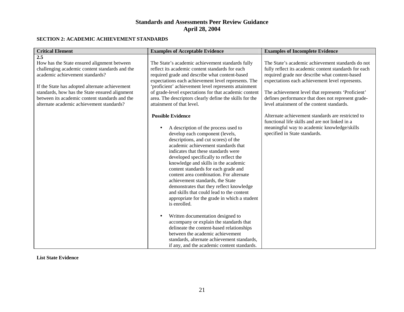#### **SECTION 2: ACADEMIC ACHIEVEMENT STANDARDS**

| <b>Critical Element</b>                                                                                                                                                                                                                                                                                                                    | <b>Examples of Acceptable Evidence</b>                                                                                                                                                                                                                                                                                                                                                                                                                                                                                                                                                                                                                                                                                                                                                                                                                    | <b>Examples of Incomplete Evidence</b>                                                                                                                                                                                                                                                                                                                                    |
|--------------------------------------------------------------------------------------------------------------------------------------------------------------------------------------------------------------------------------------------------------------------------------------------------------------------------------------------|-----------------------------------------------------------------------------------------------------------------------------------------------------------------------------------------------------------------------------------------------------------------------------------------------------------------------------------------------------------------------------------------------------------------------------------------------------------------------------------------------------------------------------------------------------------------------------------------------------------------------------------------------------------------------------------------------------------------------------------------------------------------------------------------------------------------------------------------------------------|---------------------------------------------------------------------------------------------------------------------------------------------------------------------------------------------------------------------------------------------------------------------------------------------------------------------------------------------------------------------------|
| 2.5<br>How has the State ensured alignment between<br>challenging academic content standards and the<br>academic achievement standards?<br>If the State has adopted alternate achievement<br>standards, how has the State ensured alignment<br>between its academic content standards and the<br>alternate academic achievement standards? | The State's academic achievement standards fully<br>reflect its academic content standards for each<br>required grade and describe what content-based<br>expectations each achievement level represents. The<br>'proficient' achievement level represents attainment<br>of grade-level expectations for that academic content<br>area. The descriptors clearly define the skills for the<br>attainment of that level.                                                                                                                                                                                                                                                                                                                                                                                                                                     | The State's academic achievement standards do not<br>fully reflect its academic content standards for each<br>required grade nor describe what content-based<br>expectations each achievement level represents.<br>The achievement level that represents 'Proficient'<br>defines performance that does not represent grade-<br>level attainment of the content standards. |
|                                                                                                                                                                                                                                                                                                                                            | <b>Possible Evidence</b><br>A description of the process used to<br>develop each component (levels,<br>descriptions, and cut scores) of the<br>academic achievement standards that<br>indicates that these standards were<br>developed specifically to reflect the<br>knowledge and skills in the academic<br>content standards for each grade and<br>content area combination. For alternate<br>achievement standards, the State<br>demonstrates that they reflect knowledge<br>and skills that could lead to the content<br>appropriate for the grade in which a student<br>is enrolled.<br>Written documentation designed to<br>accompany or explain the standards that<br>delineate the content-based relationships<br>between the academic achievement<br>standards, alternate achievement standards,<br>if any, and the academic content standards. | Alternate achievement standards are restricted to<br>functional life skills and are not linked in a<br>meaningful way to academic knowledge/skills<br>specified in State standards.                                                                                                                                                                                       |

#### **List State Evidence**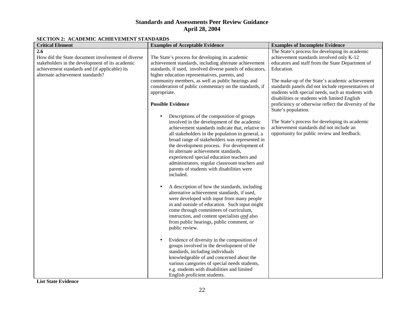#### **SECTION 2: ACADEMIC ACHIEVEMENT STANDARDS**

| SECTION <b>2</b> . Rembering Remier Emery Stringbridge                                                                                                                                           |                                                                                                                                                                                                                                                                                                                                                                                                                                                                                                      |                                                                                                                                                                                                                                                                                                                                                                                                                                                                |
|--------------------------------------------------------------------------------------------------------------------------------------------------------------------------------------------------|------------------------------------------------------------------------------------------------------------------------------------------------------------------------------------------------------------------------------------------------------------------------------------------------------------------------------------------------------------------------------------------------------------------------------------------------------------------------------------------------------|----------------------------------------------------------------------------------------------------------------------------------------------------------------------------------------------------------------------------------------------------------------------------------------------------------------------------------------------------------------------------------------------------------------------------------------------------------------|
| <b>Critical Element</b>                                                                                                                                                                          | <b>Examples of Acceptable Evidence</b>                                                                                                                                                                                                                                                                                                                                                                                                                                                               | <b>Examples of Incomplete Evidence</b>                                                                                                                                                                                                                                                                                                                                                                                                                         |
| 2.6<br>How did the State document involvement of diverse<br>stakeholders in the development of its academic<br>achievement standards and (if applicable) its<br>alternate achievement standards? | The State's process for developing its academic<br>achievement standards, including alternate achievement<br>standards, if used, involved diverse panels of educators,<br>higher education representatives, parents, and<br>community members, as well as public hearings and<br>consideration of public commentary on the standards, if<br>appropriate.<br><b>Possible Evidence</b>                                                                                                                 | The State's process for developing its academic<br>achievement standards involved only K-12<br>educators and staff from the State Department of<br>Education.<br>The make-up of the State's academic achievement<br>standards panels did not include representatives of<br>students with special needs, such as students with<br>disabilities or students with limited English<br>proficiency or otherwise reflect the diversity of the<br>State's population. |
|                                                                                                                                                                                                  | Descriptions of the composition of groups<br>involved in the development of the academic<br>achievement standards indicate that, relative to<br>all stakeholders in the population in general, a<br>broad range of stakeholders was represented in<br>the development process. For development of<br>its alternate achievement standards,<br>experienced special education teachers and<br>administrators, regular classroom teachers and<br>parents of students with disabilities were<br>included. | The State's process for developing its academic<br>achievement standards did not include an<br>opportunity for public review and feedback.                                                                                                                                                                                                                                                                                                                     |
|                                                                                                                                                                                                  | A description of how the standards, including<br>$\bullet$<br>alternative achievement standards, if used,<br>were developed with input from many people<br>in and outside of education. Such input might<br>come through committees of curriculum,<br>instruction, and content specialists and also<br>from public hearings, public comment, or<br>public review.                                                                                                                                    |                                                                                                                                                                                                                                                                                                                                                                                                                                                                |
|                                                                                                                                                                                                  | Evidence of diversity in the composition of<br>$\bullet$<br>groups involved in the development of the<br>standards, including individuals<br>knowledgeable of and concerned about the<br>various categories of special needs students,<br>e.g. students with disabilities and limited<br>English proficient students.                                                                                                                                                                                |                                                                                                                                                                                                                                                                                                                                                                                                                                                                |

**List State Evidence**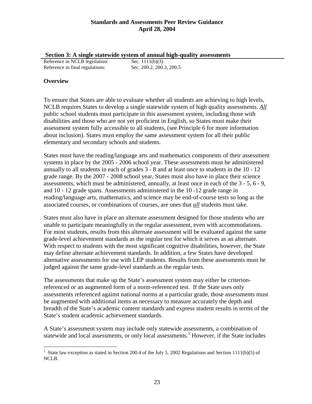**Section 3: A single statewide system of annual high-quality assessments**

Reference in NCLB legislation: Sec. 1111(b)(3) Reference in final regulations: Sec. 200.2, 200.3, 200.5

### **Overview**

To ensure that States are able to evaluate whether all students are achieving to high levels, NCLB requires States to develop a single statewide system of high quality assessments. *All* public school students must participate in this assessment system, including those with disabilities and those who are not yet proficient in English, so States must make their assessment system fully accessible to all students, (see Principle 6 for more information about inclusion). States must employ the same assessment system for all their public elementary and secondary schools and students.

States must have the reading/language arts and mathematics components of their assessment systems in place by the 2005 - 2006 school year. These assessments must be administered annually to all students in each of grades 3 - 8 and at least once to students in the 10 - 12 grade range. By the 2007 - 2008 school year, States must also have in place their science assessments, which must be administered, annually, at least once in each of the 3 - 5, 6 - 9, and 10 - 12 grade spans. Assessments administered in the 10 -12 grade range in reading/language arts, mathematics, and science may be end-of-course tests so long as the associated courses, or combinations of courses, are ones that *all* students must take.

States must also have in place an alternate assessment designed for those students who are unable to participate meaningfully in the regular assessment, even with accommodations. For most students, results from this alternate assessment will be evaluated against the same grade-level achievement standards as the regular test for which it serves as an alternate. With respect to students with the most significant cognitive disabilities, however, the State may define alternate achievement standards. In addition, a few States have developed alternative assessments for use with LEP students. Results from these assessments must be judged against the same grade-level standards as the regular tests.

The assessments that make up the State's assessment system may either be criterionreferenced or an augmented form of a norm-referenced test. If the State uses only assessments referenced against national norms at a particular grade, those assessments must be augmented with additional items as necessary to measure accurately the depth and breadth of the State's academic content standards and express student results in terms of the State's student academic achievement standards.

A State's assessment system may include only statewide assessments, a combination of statewide and local assessments, or only local assessments.<sup>1</sup> However, if the State includes

 $\overline{a}$ 1 State law exception as stated in Section 200.4 of the July 5, 2002 Regulations and Section 1111(b)(5) of NCLB.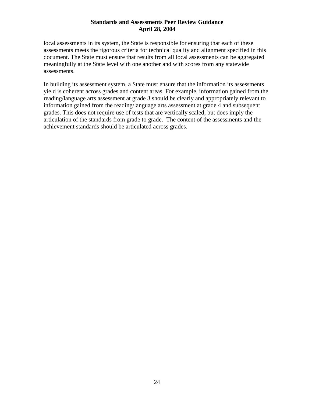local assessments in its system, the State is responsible for ensuring that each of these assessments meets the rigorous criteria for technical quality and alignment specified in this document. The State must ensure that results from all local assessments can be aggregated meaningfully at the State level with one another and with scores from any statewide assessments.

In building its assessment system, a State must ensure that the information its assessments yield is coherent across grades and content areas. For example, information gained from the reading/language arts assessment at grade 3 should be clearly and appropriately relevant to information gained from the reading/language arts assessment at grade 4 and subsequent grades. This does not require use of tests that are vertically scaled, but does imply the articulation of the standards from grade to grade. The content of the assessments and the achievement standards should be articulated across grades.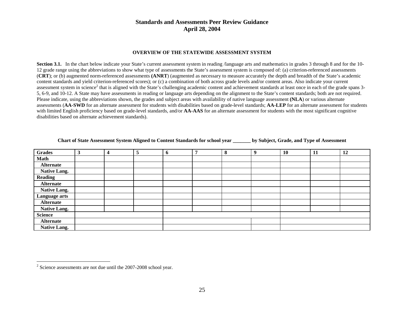#### **OVERVIEW OF THE STATEWIDE ASSESSMENT SYSTEM**

**Section 3.1.** In the chart below indicate your State's current assessment system in reading /language arts and mathematics in grades 3 through 8 and for the 10-12 grade range using the abbreviations to show what type of assessments the State's assessment system is composed of: (a) criterion-referenced assessments (**CRT**); or (b) augmented norm-referenced assessments **(ANRT**) (augmented as necessary to measure accurately the depth and breadth of the State's academic content standards and yield criterion-referenced scores); or (c) a combination of both across grade levels and/or content areas. Also indicate your current assessment system in science<sup>2</sup> that is aligned with the State's challenging academic content and achievement standards at least once in each of the grade spans 3-5, 6-9, and 10-12. A State may have assessments in reading or language arts depending on the alignment to the State's content standards; both are not required. Please indicate, using the abbreviations shown, the grades and subject areas with availability of native language assessment **(NLA**) or various alternate assessments (**AA-SWD** for an alternate assessment for students with disabilities based on grade-level standards; **AA-LEP** for an alternate assessment for students with limited English proficiency based on grade-level standards, and/or **AA-AAS** for an alternate assessment for students with the most significant cognitive disabilities based on alternate achievement standards).

| <b>Grades</b>       | 3 | 4 | 5 | $\mathbf b$ | 7 | 8 | 9 | 10 | 11 | 12 |
|---------------------|---|---|---|-------------|---|---|---|----|----|----|
| <b>Math</b>         |   |   |   |             |   |   |   |    |    |    |
| <b>Alternate</b>    |   |   |   |             |   |   |   |    |    |    |
| <b>Native Lang.</b> |   |   |   |             |   |   |   |    |    |    |
| <b>Reading</b>      |   |   |   |             |   |   |   |    |    |    |
| <b>Alternate</b>    |   |   |   |             |   |   |   |    |    |    |
| <b>Native Lang.</b> |   |   |   |             |   |   |   |    |    |    |
| Language arts       |   |   |   |             |   |   |   |    |    |    |
| <b>Alternate</b>    |   |   |   |             |   |   |   |    |    |    |
| <b>Native Lang.</b> |   |   |   |             |   |   |   |    |    |    |
| <b>Science</b>      |   |   |   |             |   |   |   |    |    |    |
| <b>Alternate</b>    |   |   |   |             |   |   |   |    |    |    |
| <b>Native Lang.</b> |   |   |   |             |   |   |   |    |    |    |

| <b>Chart of State Assessment System Aligned to Content Standards for school year</b> | by Subject, Grade, and Type of Assessment |  |
|--------------------------------------------------------------------------------------|-------------------------------------------|--|
|                                                                                      |                                           |  |

<sup>2</sup> Science assessments are not due until the 2007-2008 school year.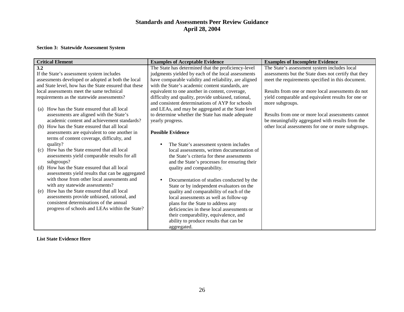#### **Section 3: Statewide Assessment System**

| <b>Critical Element</b>                                                                    | <b>Examples of Acceptable Evidence</b>                                                                  | <b>Examples of Incomplete Evidence</b>                                                                |
|--------------------------------------------------------------------------------------------|---------------------------------------------------------------------------------------------------------|-------------------------------------------------------------------------------------------------------|
| 3.2                                                                                        | The State has determined that the proficiency-level                                                     | The State's assessment system includes local                                                          |
| If the State's assessment system includes                                                  | judgments yielded by each of the local assessments                                                      | assessments but the State does not certify that they                                                  |
| assessments developed or adopted at both the local                                         | have comparable validity and reliability, are aligned                                                   | meet the requirements specified in this document.                                                     |
| and State level, how has the State ensured that these                                      | with the State's academic content standards, are                                                        |                                                                                                       |
| local assessments meet the same technical                                                  | equivalent to one another in content, coverage,                                                         | Results from one or more local assessments do not                                                     |
| requirements as the statewide assessments?                                                 | difficulty and quality, provide unbiased, rational,<br>and consistent determinations of AYP for schools | yield comparable and equivalent results for one or<br>more subgroups.                                 |
| How has the State ensured that all local<br>(a)                                            | and LEAs, and may be aggregated at the State level                                                      |                                                                                                       |
| assessments are aligned with the State's<br>academic content and achievement standards?    | to determine whether the State has made adequate<br>yearly progress.                                    | Results from one or more local assessments cannot<br>be meaningfully aggregated with results from the |
| How has the State ensured that all local<br>(b)                                            |                                                                                                         | other local assessments for one or more subgroups.                                                    |
| assessments are equivalent to one another in<br>terms of content coverage, difficulty, and | <b>Possible Evidence</b>                                                                                |                                                                                                       |
| quality?                                                                                   | The State's assessment system includes                                                                  |                                                                                                       |
| How has the State ensured that all local<br>(c)                                            | local assessments, written documentation of                                                             |                                                                                                       |
| assessments yield comparable results for all                                               | the State's criteria for these assessments                                                              |                                                                                                       |
| subgroups?                                                                                 | and the State's processes for ensuring their                                                            |                                                                                                       |
| How has the State ensured that all local<br>(d)                                            | quality and comparability.                                                                              |                                                                                                       |
| assessments yield results that can be aggregated                                           |                                                                                                         |                                                                                                       |
| with those from other local assessments and                                                | Documentation of studies conducted by the                                                               |                                                                                                       |
| with any statewide assessments?<br>How has the State ensured that all local                | State or by independent evaluators on the                                                               |                                                                                                       |
| (e)<br>assessments provide unbiased, rational, and                                         | quality and comparability of each of the                                                                |                                                                                                       |
| consistent determinations of the annual                                                    | local assessments as well as follow-up                                                                  |                                                                                                       |
| progress of schools and LEAs within the State?                                             | plans for the State to address any                                                                      |                                                                                                       |
|                                                                                            | deficiencies in these local assessments or                                                              |                                                                                                       |
|                                                                                            | their comparability, equivalence, and                                                                   |                                                                                                       |
|                                                                                            | ability to produce results that can be                                                                  |                                                                                                       |
|                                                                                            | aggregated.                                                                                             |                                                                                                       |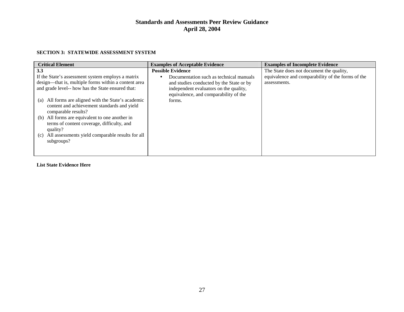#### **SECTION 3: STATEWIDE ASSESSMENT SYSTEM**

| <b>Critical Element</b>                                                                                                                                                                                                                                                                                                                                                                                              | <b>Examples of Acceptable Evidence</b>                                                                                                                                                                       | <b>Examples of Incomplete Evidence</b>                                                                        |
|----------------------------------------------------------------------------------------------------------------------------------------------------------------------------------------------------------------------------------------------------------------------------------------------------------------------------------------------------------------------------------------------------------------------|--------------------------------------------------------------------------------------------------------------------------------------------------------------------------------------------------------------|---------------------------------------------------------------------------------------------------------------|
| 3.3<br>If the State's assessment system employs a matrix<br>design—that is, multiple forms within a content area<br>and grade level-- how has the State ensured that:<br>All forms are aligned with the State's academic<br>(a)<br>content and achievement standards and yield<br>comparable results?<br>All forms are equivalent to one another in<br>(b)<br>terms of content coverage, difficulty, and<br>quality? | <b>Possible Evidence</b><br>Documentation such as technical manuals<br>and studies conducted by the State or by<br>independent evaluators on the quality,<br>equivalence, and comparability of the<br>forms. | The State does not document the quality,<br>equivalence and comparability of the forms of the<br>assessments. |
| All assessments yield comparable results for all<br>(c)<br>subgroups?                                                                                                                                                                                                                                                                                                                                                |                                                                                                                                                                                                              |                                                                                                               |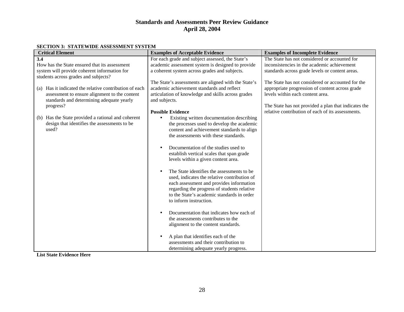| <b>Critical Element</b>                                   | <b>Examples of Acceptable Evidence</b>                                                    | <b>Examples of Incomplete Evidence</b>               |
|-----------------------------------------------------------|-------------------------------------------------------------------------------------------|------------------------------------------------------|
| 3.4                                                       | For each grade and subject assessed, the State's                                          | The State has not considered or accounted for        |
| How has the State ensured that its assessment             | academic assessment system is designed to provide                                         | inconsistencies in the academic achievement          |
| system will provide coherent information for              | a coherent system across grades and subjects.                                             | standards across grade levels or content areas.      |
| students across grades and subjects?                      |                                                                                           |                                                      |
|                                                           | The State's assessments are aligned with the State's                                      | The State has not considered or accounted for the    |
| Has it indicated the relative contribution of each<br>(a) | academic achievement standards and reflect                                                | appropriate progression of content across grade      |
| assessment to ensure alignment to the content             | articulation of knowledge and skills across grades                                        | levels within each content area.                     |
| standards and determining adequate yearly                 | and subjects.                                                                             |                                                      |
| progress?                                                 |                                                                                           | The State has not provided a plan that indicates the |
|                                                           | <b>Possible Evidence</b>                                                                  | relative contribution of each of its assessments.    |
| Has the State provided a rational and coherent<br>(b)     | Existing written documentation describing                                                 |                                                      |
| design that identifies the assessments to be              | the processes used to develop the academic                                                |                                                      |
| used?                                                     | content and achievement standards to align                                                |                                                      |
|                                                           | the assessments with these standards.                                                     |                                                      |
|                                                           |                                                                                           |                                                      |
|                                                           | Documentation of the studies used to                                                      |                                                      |
|                                                           | establish vertical scales that span grade                                                 |                                                      |
|                                                           | levels within a given content area.                                                       |                                                      |
|                                                           |                                                                                           |                                                      |
|                                                           | The State identifies the assessments to be.                                               |                                                      |
|                                                           | used, indicates the relative contribution of                                              |                                                      |
|                                                           | each assessment and provides information                                                  |                                                      |
|                                                           | regarding the progress of students relative<br>to the State's academic standards in order |                                                      |
|                                                           | to inform instruction.                                                                    |                                                      |
|                                                           |                                                                                           |                                                      |
|                                                           | Documentation that indicates how each of                                                  |                                                      |
|                                                           | the assessments contributes to the                                                        |                                                      |
|                                                           | alignment to the content standards.                                                       |                                                      |
|                                                           |                                                                                           |                                                      |
|                                                           | A plan that identifies each of the                                                        |                                                      |
|                                                           | assessments and their contribution to                                                     |                                                      |
|                                                           | determining adequate yearly progress.                                                     |                                                      |
| $\sim$ $\sim$                                             |                                                                                           |                                                      |

#### **SECTION 3: STATEWIDE ASSESSMENT SYSTEM**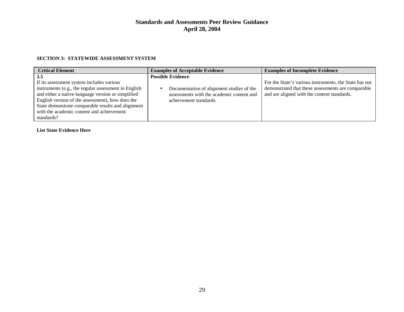#### **SECTION 3: STATEWIDE ASSESSMENT SYSTEM**

| <b>Critical Element</b>                                                                                                                                                                                                                                                                                                             | <b>Examples of Acceptable Evidence</b>                                                                                                       | <b>Examples of Incomplete Evidence</b>                                                                                                                      |
|-------------------------------------------------------------------------------------------------------------------------------------------------------------------------------------------------------------------------------------------------------------------------------------------------------------------------------------|----------------------------------------------------------------------------------------------------------------------------------------------|-------------------------------------------------------------------------------------------------------------------------------------------------------------|
| 3.5<br>If its assessment system includes various<br>instruments (e.g., the regular assessment in English<br>and either a native-language version or simplified<br>English version of the assessment), how does the<br>State demonstrate comparable results and alignment<br>with the academic content and achievement<br>standards? | <b>Possible Evidence</b><br>Documentation of alignment studies of the<br>assessments with the academic content and<br>achievement standards. | For the State's various instruments, the State has not<br>demonstrated that these assessments are comparable<br>and are aligned with the content standards. |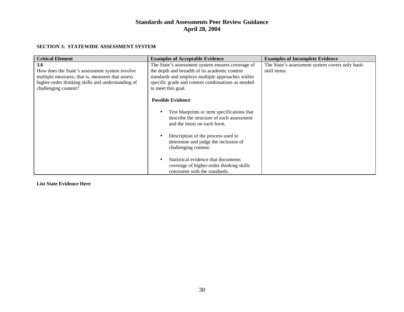#### **SECTION 3: STATEWIDE ASSESSMENT SYSTEM**

| <b>Critical Element</b>                           | <b>Examples of Acceptable Evidence</b>                                                                                  | <b>Examples of Incomplete Evidence</b>          |
|---------------------------------------------------|-------------------------------------------------------------------------------------------------------------------------|-------------------------------------------------|
| 3.6                                               | The State's assessment system ensures coverage of                                                                       | The State's assessment system covers only basic |
| How does the State's assessment system involve    | the depth and breadth of its academic content                                                                           | skill items.                                    |
| multiple measures, that is, measures that assess  | standards and employs multiple approaches within                                                                        |                                                 |
| higher-order thinking skills and understanding of | specific grade and content combinations as needed                                                                       |                                                 |
| challenging content?                              | to meet this goal.                                                                                                      |                                                 |
|                                                   | <b>Possible Evidence</b>                                                                                                |                                                 |
|                                                   | Test blueprints or item specifications that<br>describe the structure of each assessment<br>and the items on each form. |                                                 |
|                                                   | Description of the process used to<br>determine and judge the inclusion of<br>challenging content.                      |                                                 |
|                                                   | Statistical evidence that documents<br>coverage of higher-order thinking skills<br>consistent with the standards.       |                                                 |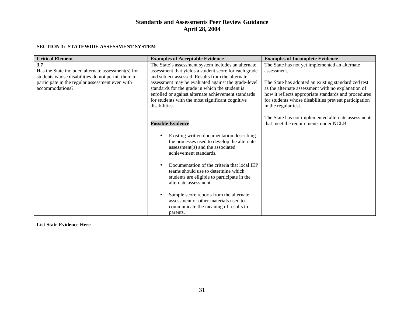#### **SECTION 3: STATEWIDE ASSESSMENT SYSTEM**

| <b>Critical Element</b>                                                                                                                                                              | <b>Examples of Acceptable Evidence</b>                                                                                                                                                                                                                                                                                                                                                                 | <b>Examples of Incomplete Evidence</b>                                                                                                                                                                                                                                                                              |
|--------------------------------------------------------------------------------------------------------------------------------------------------------------------------------------|--------------------------------------------------------------------------------------------------------------------------------------------------------------------------------------------------------------------------------------------------------------------------------------------------------------------------------------------------------------------------------------------------------|---------------------------------------------------------------------------------------------------------------------------------------------------------------------------------------------------------------------------------------------------------------------------------------------------------------------|
| 3.7<br>Has the State included alternate assessment(s) for<br>students whose disabilities do not permit them to<br>participate in the regular assessment even with<br>accommodations? | The State's assessment system includes an alternate<br>assessment that yields a student score for each grade<br>and subject assessed. Results from the alternate<br>assessment may be evaluated against the grade-level<br>standards for the grade in which the student is<br>enrolled or against alternate achievement standards<br>for students with the most significant cognitive<br>disabilities. | The State has not yet implemented an alternate<br>assessment.<br>The State has adopted an existing standardized test<br>as the alternate assessment with no explanation of<br>how it reflects appropriate standards and procedures<br>for students whose disabilities prevent participation<br>in the regular test. |
|                                                                                                                                                                                      | <b>Possible Evidence</b>                                                                                                                                                                                                                                                                                                                                                                               | The State has not implemented alternate assessments<br>that meet the requirements under NCLB.                                                                                                                                                                                                                       |
|                                                                                                                                                                                      | Existing written documentation describing<br>the processes used to develop the alternate<br>assessment(s) and the associated<br>achievement standards.                                                                                                                                                                                                                                                 |                                                                                                                                                                                                                                                                                                                     |
|                                                                                                                                                                                      | Documentation of the criteria that local IEP<br>teams should use to determine which<br>students are eligible to participate in the<br>alternate assessment.                                                                                                                                                                                                                                            |                                                                                                                                                                                                                                                                                                                     |
|                                                                                                                                                                                      | Sample score reports from the alternate<br>assessment or other materials used to<br>communicate the meaning of results to<br>parents.                                                                                                                                                                                                                                                                  |                                                                                                                                                                                                                                                                                                                     |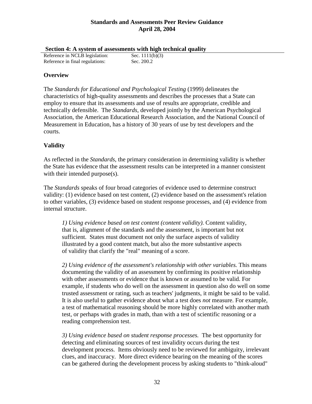|  | Section 4: A system of assessments with high technical quality |  |  |
|--|----------------------------------------------------------------|--|--|
|  |                                                                |  |  |

| $\alpha$ of $\alpha$ is a system of assessments with ingle |                   |
|------------------------------------------------------------|-------------------|
| Reference in NCLB legislation:                             | Sec. $1111(b)(3)$ |
| Reference in final regulations:                            | Sec. 200.2        |

### **Overview**

The *Standards for Educational and Psychological Testing* (1999) delineates the characteristics of high-quality assessments and describes the processes that a State can employ to ensure that its assessments and use of results are appropriate, credible and technically defensible. The *Standards*, developed jointly by the American Psychological Association, the American Educational Research Association, and the National Council of Measurement in Education, has a history of 30 years of use by test developers and the courts.

### **Validity**

As reflected in the *Standards*, the primary consideration in determining validity is whether the State has evidence that the assessment results can be interpreted in a manner consistent with their intended purpose(s).

The *Standards* speaks of four broad categories of evidence used to determine construct validity: (1) evidence based on test content, (2) evidence based on the assessment's relation to other variables, (3) evidence based on student response processes, and (4) evidence from internal structure.

*1) Using evidence based on test content (content validity)*. Content validity, that is, alignment of the standards and the assessment, is important but not sufficient. States must document not only the surface aspects of validity illustrated by a good content match, but also the more substantive aspects of validity that clarify the "real" meaning of a score.

*2) Using evidence of the assessment's relationship with other variables.* This means documenting the validity of an assessment by confirming its positive relationship with other assessments or evidence that is known or assumed to be valid. For example, if students who do well on the assessment in question also do well on some trusted assessment or rating, such as teachers' judgments, it might be said to be valid. It is also useful to gather evidence about what a test does *not* measure. For example, a test of mathematical reasoning should be more highly correlated with another math test, or perhaps with grades in math, than with a test of scientific reasoning or a reading comprehension test.

*3) Using evidence based on student response processes.* The best opportunity for detecting and eliminating sources of test invalidity occurs during the test development process. Items obviously need to be reviewed for ambiguity, irrelevant clues, and inaccuracy. More direct evidence bearing on the meaning of the scores can be gathered during the development process by asking students to "think-aloud"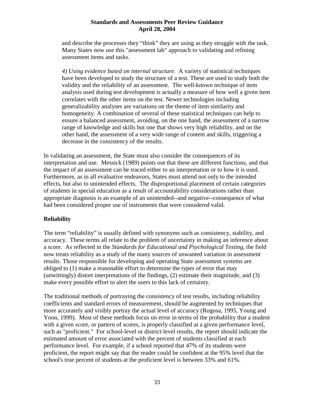and describe the processes they "think" they are using as they struggle with the task. Many States now use this "assessment lab" approach to validating and refining assessment items and tasks.

*4) Using evidence based on internal structure.* A variety of statistical techniques have been developed to study the structure of a test. These are used to study both the validity and the reliability of an assessment. The well-known technique of item analysis used during test development is actually a measure of how well a given item correlates with the other items on the test. Newer technologies including generalizability analyses are variations on the theme of item similarity and homogeneity. A combination of several of these statistical techniques can help to ensure a balanced assessment, avoiding, on the one hand, the assessment of a narrow range of knowledge and skills but one that shows very high reliability, and on the other hand, the assessment of a very wide range of content and skills, triggering a decrease in the consistency of the results.

In validating an assessment, the State must also consider the consequences of its interpretation and use. Messick (1989) points out that these are different functions, and that the impact of an assessment can be traced either to an interpretation or to how it is used. Furthermore, as in all evaluative endeavors, States must attend not only to the intended effects, but also to unintended effects. The disproportional placement of certain categories of students in special education as a result of accountability considerations rather than appropriate diagnosis is an example of an unintended--and negative--consequence of what had been considered proper use of instruments that were considered valid.

### **Reliability**

The term "reliability" is usually defined with synonyms such as consistency, stability, and accuracy. These terms all relate to the problem of uncertainty in making an inference about a score. As reflected in the *Standards for Educational and Psychological Testing*, the field now treats reliability as a study of the many sources of unwanted variation in assessment results. Those responsible for developing and operating State assessment systems are obliged to (1) make a reasonable effort to determine the types of error that may (unwittingly) distort interpretations of the findings, (2) estimate their magnitude, and (3) make every possible effort to alert the users to this lack of certainty.

The traditional methods of portraying the consistency of test results, including reliability coefficients and standard errors of measurement, should be augmented by techniques that more accurately and visibly portray the actual level of accuracy (Rogosa, 1995, Young and Yoon, 1999). Most of these methods focus on error in terms of the probability that a student with a given score, or pattern of scores, is properly classified at a given performance level, such as "proficient." For school-level or district-level results, the report should indicate the estimated amount of error associated with the percent of students classified at each performance level. For example, if a school reported that 47% of its students were proficient, the report might say that the reader could be confident at the 95% level that the school's true percent of students at the proficient level is between 33% and 61%.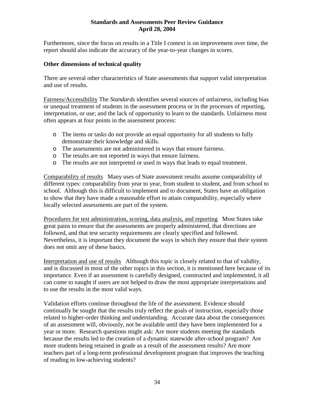Furthermore, since the focus on results in a Title I context is on improvement over time, the report should also indicate the accuracy of the year-to-year changes in scores.

#### **Other dimensions of technical quality**

There are several other characteristics of State assessments that support valid interpretation and use of results.

Fairness/Accessibility The *Standards* identifies several sources of unfairness, including bias or unequal treatment of students in the assessment process or in the processes of reporting, interpretation, or use; and the lack of opportunity to learn to the standards. Unfairness most often appears at four points in the assessment process:

- o The items or tasks do not provide an equal opportunity for all students to fully demonstrate their knowledge and skills.
- o The assessments are not administered in ways that ensure fairness.
- o The results are not reported in ways that ensure fairness.
- o The results are not interpreted or used in ways that leads to equal treatment.

Comparability of results Many uses of State assessment results assume comparability of different types: comparability from year to year, from student to student, and from school to school. Although this is difficult to implement and to document, States have an obligation to show that they have made a reasonable effort to attain comparability, especially where locally selected assessments are part of the system.

Procedures for test administration, scoring, data analysis, and reporting Most States take great pains to ensure that the assessments are properly administered, that directions are followed, and that test security requirements are clearly specified and followed. Nevertheless, it is important they document the ways in which they ensure that their system does not omit any of these basics.

Interpretation and use of results Although this topic is closely related to that of validity, and is discussed in most of the other topics in this section, it is mentioned here because of its importance. Even if an assessment is carefully designed, constructed and implemented, it all can come to naught if users are not helped to draw the most appropriate interpretations and to use the results in the most valid ways.

Validation efforts continue throughout the life of the assessment. Evidence should continually be sought that the results truly reflect the goals of instruction, especially those related to higher-order thinking and understanding. Accurate data about the consequences of an assessment will, obviously, not be available until they have been implemented for a year or more. Research questions might ask: Are more students meeting the standards because the results led to the creation of a dynamic statewide after-school program? Are more students being retained in grade as a result of the assessment results? Are more teachers part of a long-term professional development program that improves the teaching of reading to low-achieving students?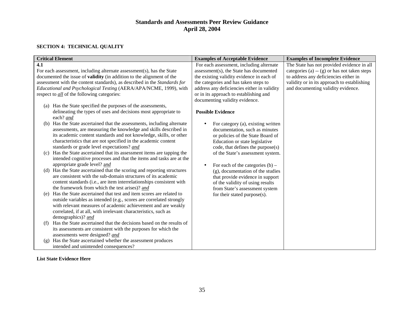#### **SECTION 4: TECHNICAL QUALITY**

| <b>Critical Element</b>                                                                          | <b>Examples of Acceptable Evidence</b>          | <b>Examples of Incomplete Evidence</b>        |
|--------------------------------------------------------------------------------------------------|-------------------------------------------------|-----------------------------------------------|
| 4.1                                                                                              | For each assessment, including alternate        | The State has not provided evidence in all    |
| For each assessment, including alternate assessment(s), has the State                            | assessment(s), the State has documented         | categories (a) $-$ (g) or has not taken steps |
| documented the issue of <b>validity</b> (in addition to the alignment of the                     | the existing validity evidence in each of       | to address any deficiencies either in         |
| assessment with the content standards), as described in the Standards for                        | the categories and has taken steps to           | validity or in its approach to establishing   |
| Educational and Psychological Testing (AERA/APA/NCME, 1999), with                                | address any deficiencies either in validity     | and documenting validity evidence.            |
| respect to <i>all</i> of the following categories:                                               | or in its approach to establishing and          |                                               |
|                                                                                                  | documenting validity evidence.                  |                                               |
| (a) Has the State specified the purposes of the assessments,                                     |                                                 |                                               |
| delineating the types of uses and decisions most appropriate to                                  | <b>Possible Evidence</b>                        |                                               |
| each? and                                                                                        |                                                 |                                               |
| Has the State ascertained that the assessments, including alternate<br>(b)                       | For category (a), existing written<br>$\bullet$ |                                               |
| assessments, are measuring the knowledge and skills described in                                 | documentation, such as minutes                  |                                               |
| its academic content standards and not knowledge, skills, or other                               | or policies of the State Board of               |                                               |
| characteristics that are not specified in the academic content                                   | Education or state legislative                  |                                               |
| standards or grade level expectations? and                                                       | code, that defines the purpose(s)               |                                               |
| (c) Has the State ascertained that its assessment items are tapping the                          | of the State's assessment system.               |                                               |
| intended cognitive processes and that the items and tasks are at the                             |                                                 |                                               |
| appropriate grade level? and                                                                     | For each of the categories $(b)$ –<br>$\bullet$ |                                               |
| (d) Has the State ascertained that the scoring and reporting structures                          | (g), documentation of the studies               |                                               |
| are consistent with the sub-domain structures of its academic                                    | that provide evidence in support                |                                               |
| content standards (i.e., are item interrelationships consistent with                             | of the validity of using results                |                                               |
| the framework from which the test arises)? and                                                   | from State's assessment system                  |                                               |
| Has the State ascertained that test and item scores are related to<br>(e)                        | for their stated purpose(s).                    |                                               |
| outside variables as intended (e.g., scores are correlated strongly                              |                                                 |                                               |
| with relevant measures of academic achievement and are weakly                                    |                                                 |                                               |
| correlated, if at all, with irrelevant characteristics, such as                                  |                                                 |                                               |
| demographics)? and<br>Has the State ascertained that the decisions based on the results of       |                                                 |                                               |
| (f)                                                                                              |                                                 |                                               |
| its assessments are consistent with the purposes for which the<br>assessments were designed? and |                                                 |                                               |
| Has the State ascertained whether the assessment produces<br>(g)                                 |                                                 |                                               |
| intended and unintended consequences?                                                            |                                                 |                                               |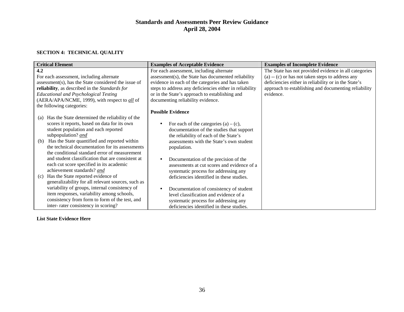#### **SECTION 4: TECHNICAL QUALITY**

| <b>Critical Element</b>                                | <b>Examples of Acceptable Evidence</b>                  | <b>Examples of Incomplete Evidence</b>                |
|--------------------------------------------------------|---------------------------------------------------------|-------------------------------------------------------|
| 4.2                                                    | For each assessment, including alternate                | The State has not provided evidence in all categories |
| For each assessment, including alternate               | assessment(s), the State has documented reliability     | $(a) - (c)$ or has not taken steps to address any     |
| assessment(s), has the State considered the issue of   | evidence in each of the categories and has taken        | deficiencies either in reliability or in the State's  |
| reliability, as described in the Standards for         | steps to address any deficiencies either in reliability | approach to establishing and documenting reliability  |
| <b>Educational and Psychological Testing</b>           | or in the State's approach to establishing and          | evidence.                                             |
| (AERA/APA/NCME, 1999), with respect to all of          | documenting reliability evidence.                       |                                                       |
| the following categories:                              |                                                         |                                                       |
|                                                        | <b>Possible Evidence</b>                                |                                                       |
| Has the State determined the reliability of the<br>(a) |                                                         |                                                       |
| scores it reports, based on data for its own           | For each of the categories $(a) - (c)$ ,                |                                                       |
| student population and each reported                   | documentation of the studies that support               |                                                       |
| subpopulation? and                                     | the reliability of each of the State's                  |                                                       |
| Has the State quantified and reported within<br>(b)    | assessments with the State's own student                |                                                       |
| the technical documentation for its assessments        | population.                                             |                                                       |
| the conditional standard error of measurement          |                                                         |                                                       |
| and student classification that are consistent at      | Documentation of the precision of the                   |                                                       |
| each cut score specified in its academic               | assessments at cut scores and evidence of a             |                                                       |
| achievement standards? and                             | systematic process for addressing any                   |                                                       |
| Has the State reported evidence of<br>(c)              | deficiencies identified in these studies.               |                                                       |
| generalizability for all relevant sources, such as     |                                                         |                                                       |
| variability of groups, internal consistency of         | Documentation of consistency of student                 |                                                       |
| item responses, variability among schools,             | level classification and evidence of a                  |                                                       |
| consistency from form to form of the test, and         | systematic process for addressing any                   |                                                       |
| inter-rater consistency in scoring?                    | deficiencies identified in these studies.               |                                                       |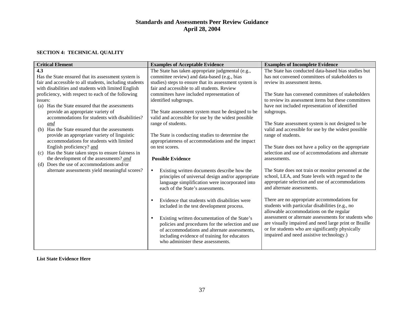#### **SECTION 4: TECHNICAL QUALITY**

| The State has conducted data-based bias studies but<br>The State has taken appropriate judgmental (e.g.,<br>4.3<br>committee review) and data-based (e.g., bias<br>has not convened committees of stakeholders to<br>Has the State ensured that its assessment system is<br>studies) steps to ensure that its assessment system is<br>fair and accessible to all students, including students<br>review its assessment items.<br>fair and accessible to all students. Review<br>with disabilities and students with limited English<br>proficiency, with respect to each of the following<br>The State has convened committees of stakeholders<br>committees have included representation of<br>to review its assessment items but these committees<br>identified subgroups.<br>issues:<br>Has the State ensured that the assessments<br>have not included representation of identified<br>(a)<br>provide an appropriate variety of<br>The State assessment system must be designed to be<br>subgroups.<br>accommodations for students with disabilities?<br>valid and accessible for use by the widest possible<br>range of students.<br>The State assessment system is not designed to be<br>and<br>valid and accessible for use by the widest possible<br>Has the State ensured that the assessments<br>(b)<br>provide an appropriate variety of linguistic<br>The State is conducting studies to determine the<br>range of students.<br>accommodations for students with limited<br>appropriateness of accommodations and the impact<br>English proficiency? and<br>The State does not have a policy on the appropriate<br>on test scores.<br>selection and use of accommodations and alternate<br>Has the State taken steps to ensure fairness in<br>(c)<br>the development of the assessments? and<br><b>Possible Evidence</b><br>assessments.<br>Does the use of accommodations and/or<br>(d)<br>alternate assessments yield meaningful scores?<br>The State does not train or monitor personnel at the<br>Existing written documents describe how the<br>$\bullet$<br>school, LEA, and State levels with regard to the<br>principles of universal design and/or appropriate<br>appropriate selection and use of accommodations<br>language simplification were incorporated into<br>and alternate assessments.<br>each of the State's assessments. |
|------------------------------------------------------------------------------------------------------------------------------------------------------------------------------------------------------------------------------------------------------------------------------------------------------------------------------------------------------------------------------------------------------------------------------------------------------------------------------------------------------------------------------------------------------------------------------------------------------------------------------------------------------------------------------------------------------------------------------------------------------------------------------------------------------------------------------------------------------------------------------------------------------------------------------------------------------------------------------------------------------------------------------------------------------------------------------------------------------------------------------------------------------------------------------------------------------------------------------------------------------------------------------------------------------------------------------------------------------------------------------------------------------------------------------------------------------------------------------------------------------------------------------------------------------------------------------------------------------------------------------------------------------------------------------------------------------------------------------------------------------------------------------------------------------------------------------------------------------------------------------------------------------------------------------------------------------------------------------------------------------------------------------------------------------------------------------------------------------------------------------------------------------------------------------------------------------------------------------------------------------------------------------------------------------------------------------------------------------------|
|                                                                                                                                                                                                                                                                                                                                                                                                                                                                                                                                                                                                                                                                                                                                                                                                                                                                                                                                                                                                                                                                                                                                                                                                                                                                                                                                                                                                                                                                                                                                                                                                                                                                                                                                                                                                                                                                                                                                                                                                                                                                                                                                                                                                                                                                                                                                                            |
|                                                                                                                                                                                                                                                                                                                                                                                                                                                                                                                                                                                                                                                                                                                                                                                                                                                                                                                                                                                                                                                                                                                                                                                                                                                                                                                                                                                                                                                                                                                                                                                                                                                                                                                                                                                                                                                                                                                                                                                                                                                                                                                                                                                                                                                                                                                                                            |
|                                                                                                                                                                                                                                                                                                                                                                                                                                                                                                                                                                                                                                                                                                                                                                                                                                                                                                                                                                                                                                                                                                                                                                                                                                                                                                                                                                                                                                                                                                                                                                                                                                                                                                                                                                                                                                                                                                                                                                                                                                                                                                                                                                                                                                                                                                                                                            |
|                                                                                                                                                                                                                                                                                                                                                                                                                                                                                                                                                                                                                                                                                                                                                                                                                                                                                                                                                                                                                                                                                                                                                                                                                                                                                                                                                                                                                                                                                                                                                                                                                                                                                                                                                                                                                                                                                                                                                                                                                                                                                                                                                                                                                                                                                                                                                            |
|                                                                                                                                                                                                                                                                                                                                                                                                                                                                                                                                                                                                                                                                                                                                                                                                                                                                                                                                                                                                                                                                                                                                                                                                                                                                                                                                                                                                                                                                                                                                                                                                                                                                                                                                                                                                                                                                                                                                                                                                                                                                                                                                                                                                                                                                                                                                                            |
|                                                                                                                                                                                                                                                                                                                                                                                                                                                                                                                                                                                                                                                                                                                                                                                                                                                                                                                                                                                                                                                                                                                                                                                                                                                                                                                                                                                                                                                                                                                                                                                                                                                                                                                                                                                                                                                                                                                                                                                                                                                                                                                                                                                                                                                                                                                                                            |
|                                                                                                                                                                                                                                                                                                                                                                                                                                                                                                                                                                                                                                                                                                                                                                                                                                                                                                                                                                                                                                                                                                                                                                                                                                                                                                                                                                                                                                                                                                                                                                                                                                                                                                                                                                                                                                                                                                                                                                                                                                                                                                                                                                                                                                                                                                                                                            |
|                                                                                                                                                                                                                                                                                                                                                                                                                                                                                                                                                                                                                                                                                                                                                                                                                                                                                                                                                                                                                                                                                                                                                                                                                                                                                                                                                                                                                                                                                                                                                                                                                                                                                                                                                                                                                                                                                                                                                                                                                                                                                                                                                                                                                                                                                                                                                            |
|                                                                                                                                                                                                                                                                                                                                                                                                                                                                                                                                                                                                                                                                                                                                                                                                                                                                                                                                                                                                                                                                                                                                                                                                                                                                                                                                                                                                                                                                                                                                                                                                                                                                                                                                                                                                                                                                                                                                                                                                                                                                                                                                                                                                                                                                                                                                                            |
|                                                                                                                                                                                                                                                                                                                                                                                                                                                                                                                                                                                                                                                                                                                                                                                                                                                                                                                                                                                                                                                                                                                                                                                                                                                                                                                                                                                                                                                                                                                                                                                                                                                                                                                                                                                                                                                                                                                                                                                                                                                                                                                                                                                                                                                                                                                                                            |
|                                                                                                                                                                                                                                                                                                                                                                                                                                                                                                                                                                                                                                                                                                                                                                                                                                                                                                                                                                                                                                                                                                                                                                                                                                                                                                                                                                                                                                                                                                                                                                                                                                                                                                                                                                                                                                                                                                                                                                                                                                                                                                                                                                                                                                                                                                                                                            |
|                                                                                                                                                                                                                                                                                                                                                                                                                                                                                                                                                                                                                                                                                                                                                                                                                                                                                                                                                                                                                                                                                                                                                                                                                                                                                                                                                                                                                                                                                                                                                                                                                                                                                                                                                                                                                                                                                                                                                                                                                                                                                                                                                                                                                                                                                                                                                            |
|                                                                                                                                                                                                                                                                                                                                                                                                                                                                                                                                                                                                                                                                                                                                                                                                                                                                                                                                                                                                                                                                                                                                                                                                                                                                                                                                                                                                                                                                                                                                                                                                                                                                                                                                                                                                                                                                                                                                                                                                                                                                                                                                                                                                                                                                                                                                                            |
|                                                                                                                                                                                                                                                                                                                                                                                                                                                                                                                                                                                                                                                                                                                                                                                                                                                                                                                                                                                                                                                                                                                                                                                                                                                                                                                                                                                                                                                                                                                                                                                                                                                                                                                                                                                                                                                                                                                                                                                                                                                                                                                                                                                                                                                                                                                                                            |
|                                                                                                                                                                                                                                                                                                                                                                                                                                                                                                                                                                                                                                                                                                                                                                                                                                                                                                                                                                                                                                                                                                                                                                                                                                                                                                                                                                                                                                                                                                                                                                                                                                                                                                                                                                                                                                                                                                                                                                                                                                                                                                                                                                                                                                                                                                                                                            |
|                                                                                                                                                                                                                                                                                                                                                                                                                                                                                                                                                                                                                                                                                                                                                                                                                                                                                                                                                                                                                                                                                                                                                                                                                                                                                                                                                                                                                                                                                                                                                                                                                                                                                                                                                                                                                                                                                                                                                                                                                                                                                                                                                                                                                                                                                                                                                            |
|                                                                                                                                                                                                                                                                                                                                                                                                                                                                                                                                                                                                                                                                                                                                                                                                                                                                                                                                                                                                                                                                                                                                                                                                                                                                                                                                                                                                                                                                                                                                                                                                                                                                                                                                                                                                                                                                                                                                                                                                                                                                                                                                                                                                                                                                                                                                                            |
|                                                                                                                                                                                                                                                                                                                                                                                                                                                                                                                                                                                                                                                                                                                                                                                                                                                                                                                                                                                                                                                                                                                                                                                                                                                                                                                                                                                                                                                                                                                                                                                                                                                                                                                                                                                                                                                                                                                                                                                                                                                                                                                                                                                                                                                                                                                                                            |
|                                                                                                                                                                                                                                                                                                                                                                                                                                                                                                                                                                                                                                                                                                                                                                                                                                                                                                                                                                                                                                                                                                                                                                                                                                                                                                                                                                                                                                                                                                                                                                                                                                                                                                                                                                                                                                                                                                                                                                                                                                                                                                                                                                                                                                                                                                                                                            |
|                                                                                                                                                                                                                                                                                                                                                                                                                                                                                                                                                                                                                                                                                                                                                                                                                                                                                                                                                                                                                                                                                                                                                                                                                                                                                                                                                                                                                                                                                                                                                                                                                                                                                                                                                                                                                                                                                                                                                                                                                                                                                                                                                                                                                                                                                                                                                            |
|                                                                                                                                                                                                                                                                                                                                                                                                                                                                                                                                                                                                                                                                                                                                                                                                                                                                                                                                                                                                                                                                                                                                                                                                                                                                                                                                                                                                                                                                                                                                                                                                                                                                                                                                                                                                                                                                                                                                                                                                                                                                                                                                                                                                                                                                                                                                                            |
|                                                                                                                                                                                                                                                                                                                                                                                                                                                                                                                                                                                                                                                                                                                                                                                                                                                                                                                                                                                                                                                                                                                                                                                                                                                                                                                                                                                                                                                                                                                                                                                                                                                                                                                                                                                                                                                                                                                                                                                                                                                                                                                                                                                                                                                                                                                                                            |
| There are no appropriate accommodations for<br>Evidence that students with disabilities were<br>$\bullet$                                                                                                                                                                                                                                                                                                                                                                                                                                                                                                                                                                                                                                                                                                                                                                                                                                                                                                                                                                                                                                                                                                                                                                                                                                                                                                                                                                                                                                                                                                                                                                                                                                                                                                                                                                                                                                                                                                                                                                                                                                                                                                                                                                                                                                                  |
| students with particular disabilities (e.g., no<br>included in the test development process.                                                                                                                                                                                                                                                                                                                                                                                                                                                                                                                                                                                                                                                                                                                                                                                                                                                                                                                                                                                                                                                                                                                                                                                                                                                                                                                                                                                                                                                                                                                                                                                                                                                                                                                                                                                                                                                                                                                                                                                                                                                                                                                                                                                                                                                               |
| allowable accommodations on the regular                                                                                                                                                                                                                                                                                                                                                                                                                                                                                                                                                                                                                                                                                                                                                                                                                                                                                                                                                                                                                                                                                                                                                                                                                                                                                                                                                                                                                                                                                                                                                                                                                                                                                                                                                                                                                                                                                                                                                                                                                                                                                                                                                                                                                                                                                                                    |
| assessment or alternate assessments for students who<br>Existing written documentation of the State's<br>$\bullet$<br>are visually impaired and need large print or Braille                                                                                                                                                                                                                                                                                                                                                                                                                                                                                                                                                                                                                                                                                                                                                                                                                                                                                                                                                                                                                                                                                                                                                                                                                                                                                                                                                                                                                                                                                                                                                                                                                                                                                                                                                                                                                                                                                                                                                                                                                                                                                                                                                                                |
| policies and procedures for the selection and use<br>or for students who are significantly physically                                                                                                                                                                                                                                                                                                                                                                                                                                                                                                                                                                                                                                                                                                                                                                                                                                                                                                                                                                                                                                                                                                                                                                                                                                                                                                                                                                                                                                                                                                                                                                                                                                                                                                                                                                                                                                                                                                                                                                                                                                                                                                                                                                                                                                                      |
| of accommodations and alternate assessments,<br>impaired and need assistive technology.)                                                                                                                                                                                                                                                                                                                                                                                                                                                                                                                                                                                                                                                                                                                                                                                                                                                                                                                                                                                                                                                                                                                                                                                                                                                                                                                                                                                                                                                                                                                                                                                                                                                                                                                                                                                                                                                                                                                                                                                                                                                                                                                                                                                                                                                                   |
| including evidence of training for educators                                                                                                                                                                                                                                                                                                                                                                                                                                                                                                                                                                                                                                                                                                                                                                                                                                                                                                                                                                                                                                                                                                                                                                                                                                                                                                                                                                                                                                                                                                                                                                                                                                                                                                                                                                                                                                                                                                                                                                                                                                                                                                                                                                                                                                                                                                               |
| who administer these assessments.                                                                                                                                                                                                                                                                                                                                                                                                                                                                                                                                                                                                                                                                                                                                                                                                                                                                                                                                                                                                                                                                                                                                                                                                                                                                                                                                                                                                                                                                                                                                                                                                                                                                                                                                                                                                                                                                                                                                                                                                                                                                                                                                                                                                                                                                                                                          |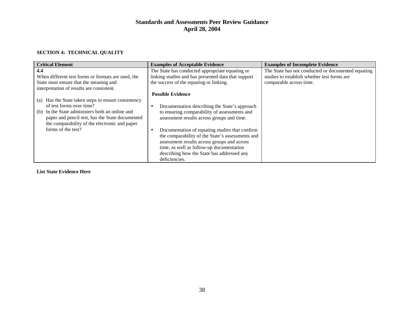#### **SECTION 4: TECHNICAL QUALITY**

| <b>Critical Element</b>                                | <b>Examples of Acceptable Evidence</b>              | <b>Examples of Incomplete Evidence</b>             |
|--------------------------------------------------------|-----------------------------------------------------|----------------------------------------------------|
| 4.4                                                    | The State has conducted appropriate equating or     | The State has not conducted or documented equating |
| When different test forms or formats are used, the     | linking studies and has presented data that support | studies to establish whether test forms are        |
| State must ensure that the meaning and                 | the success of the equating or linking.             | comparable across time.                            |
| interpretation of results are consistent.              |                                                     |                                                    |
|                                                        | <b>Possible Evidence</b>                            |                                                    |
| Has the State taken steps to ensure consistency<br>(a) |                                                     |                                                    |
| of test forms over time?                               | Documentation describing the State's approach       |                                                    |
| In the State administers both an online and<br>(b)     | to ensuring comparability of assessments and        |                                                    |
| paper and pencil test, has the State documented        | assessment results across groups and time.          |                                                    |
| the comparability of the electronic and paper          |                                                     |                                                    |
| forms of the test?                                     | Documentation of equating studies that confirm      |                                                    |
|                                                        | the comparability of the State's assessments and    |                                                    |
|                                                        | assessment results across groups and across         |                                                    |
|                                                        | time, as well as follow-up documentation            |                                                    |
|                                                        | describing how the State has addressed any          |                                                    |
|                                                        | deficiencies.                                       |                                                    |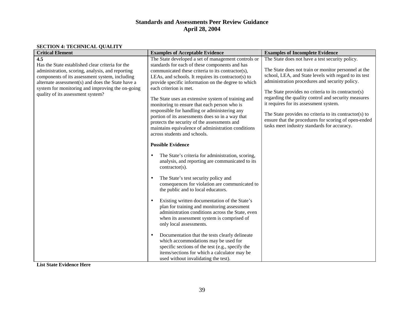#### **SECTION 4: TECHNICAL QUALITY**

| <b>Critical Element</b>                           | <b>Examples of Acceptable Evidence</b>                                               | <b>Examples of Incomplete Evidence</b>                 |
|---------------------------------------------------|--------------------------------------------------------------------------------------|--------------------------------------------------------|
| 4.5                                               | The State developed a set of management controls or                                  | The State does not have a test security policy.        |
| Has the State established clear criteria for the  | standards for each of these components and has                                       |                                                        |
| administration, scoring, analysis, and reporting  | communicated these criteria to its contractor(s),                                    | The State does not train or monitor personnel at the   |
| components of its assessment system, including    | LEAs, and schools. It requires its contractor(s) to                                  | school, LEA, and State levels with regard to its test  |
| alternate assessment(s) and does the State have a | provide specific information on the degree to which                                  | administration procedures and security policy.         |
| system for monitoring and improving the on-going  | each criterion is met.                                                               | The State provides no criteria to its contractor(s)    |
| quality of its assessment system?                 | The State uses an extensive system of training and                                   | regarding the quality control and security measures    |
|                                                   | monitoring to ensure that each person who is                                         | it requires for its assessment system.                 |
|                                                   | responsible for handling or administering any                                        |                                                        |
|                                                   | portion of its assessments does so in a way that                                     | The State provides no criteria to its contractor(s) to |
|                                                   | protects the security of the assessments and                                         | ensure that the procedures for scoring of open-ended   |
|                                                   | maintains equivalence of administration conditions                                   | tasks meet industry standards for accuracy.            |
|                                                   | across students and schools.                                                         |                                                        |
|                                                   |                                                                                      |                                                        |
|                                                   | <b>Possible Evidence</b>                                                             |                                                        |
|                                                   | The State's criteria for administration, scoring,<br>$\bullet$                       |                                                        |
|                                                   | analysis, and reporting are communicated to its                                      |                                                        |
|                                                   | contractor(s).                                                                       |                                                        |
|                                                   |                                                                                      |                                                        |
|                                                   | The State's test security policy and                                                 |                                                        |
|                                                   | consequences for violation are communicated to<br>the public and to local educators. |                                                        |
|                                                   |                                                                                      |                                                        |
|                                                   | Existing written documentation of the State's                                        |                                                        |
|                                                   | plan for training and monitoring assessment                                          |                                                        |
|                                                   | administration conditions across the State, even                                     |                                                        |
|                                                   | when its assessment system is comprised of                                           |                                                        |
|                                                   | only local assessments.                                                              |                                                        |
|                                                   | Documentation that the tests clearly delineate<br>$\bullet$                          |                                                        |
|                                                   | which accommodations may be used for                                                 |                                                        |
|                                                   | specific sections of the test (e.g., specify the                                     |                                                        |
|                                                   | items/sections for which a calculator may be                                         |                                                        |
|                                                   | used without invalidating the test).                                                 |                                                        |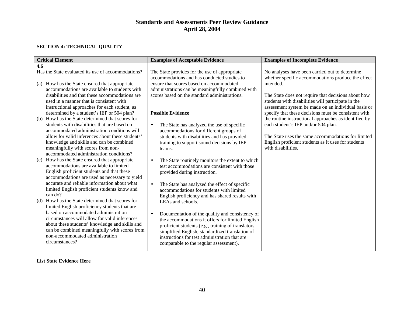#### **SECTION 4: TECHNICAL QUALITY**

| <b>Critical Element</b>                                                                                                                     | <b>Examples of Acceptable Evidence</b>                                                            | <b>Examples of Incomplete Evidence</b>                                                                                                                           |
|---------------------------------------------------------------------------------------------------------------------------------------------|---------------------------------------------------------------------------------------------------|------------------------------------------------------------------------------------------------------------------------------------------------------------------|
| 4.6                                                                                                                                         |                                                                                                   |                                                                                                                                                                  |
| Has the State evaluated its use of accommodations?                                                                                          | The State provides for the use of appropriate<br>accommodations and has conducted studies to      | No analyses have been carried out to determine<br>whether specific accommodations produce the effect                                                             |
| How has the State ensured that appropriate<br>(a)                                                                                           | ensure that scores based on accommodated                                                          | intended.                                                                                                                                                        |
| accommodations are available to students with                                                                                               | administrations can be meaningfully combined with                                                 |                                                                                                                                                                  |
| disabilities and that these accommodations are<br>used in a manner that is consistent with<br>instructional approaches for each student, as | scores based on the standard administrations.                                                     | The State does not require that decisions about how<br>students with disabilities will participate in the<br>assessment system be made on an individual basis or |
| determined by a student's IEP or 504 plan?                                                                                                  | <b>Possible Evidence</b>                                                                          | specify that these decisions must be consistent with                                                                                                             |
| How has the State determined that scores for<br>(b)                                                                                         |                                                                                                   | the routine instructional approaches as identified by                                                                                                            |
| students with disabilities that are based on<br>accommodated administration conditions will                                                 | The State has analyzed the use of specific<br>$\bullet$<br>accommodations for different groups of | each student's IEP and/or 504 plan.                                                                                                                              |
| allow for valid inferences about these students'                                                                                            | students with disabilities and has provided                                                       | The State uses the same accommodations for limited                                                                                                               |
| knowledge and skills and can be combined                                                                                                    | training to support sound decisions by IEP                                                        | English proficient students as it uses for students                                                                                                              |
| meaningfully with scores from non-                                                                                                          | teams.                                                                                            | with disabilities.                                                                                                                                               |
| accommodated administration conditions?                                                                                                     |                                                                                                   |                                                                                                                                                                  |
| How has the State ensured that appropriate<br>(c)                                                                                           | The State routinely monitors the extent to which<br>$\bullet$                                     |                                                                                                                                                                  |
| accommodations are available to limited                                                                                                     | test accommodations are consistent with those                                                     |                                                                                                                                                                  |
| English proficient students and that these                                                                                                  | provided during instruction.                                                                      |                                                                                                                                                                  |
| accommodations are used as necessary to yield                                                                                               |                                                                                                   |                                                                                                                                                                  |
| accurate and reliable information about what                                                                                                | The State has analyzed the effect of specific<br>$\bullet$                                        |                                                                                                                                                                  |
| limited English proficient students know and                                                                                                | accommodations for students with limited                                                          |                                                                                                                                                                  |
| can do?                                                                                                                                     | English proficiency and has shared results with                                                   |                                                                                                                                                                  |
| (d) How has the State determined that scores for                                                                                            | LEAs and schools.                                                                                 |                                                                                                                                                                  |
| limited English proficiency students that are                                                                                               |                                                                                                   |                                                                                                                                                                  |
| based on accommodated administration                                                                                                        | Documentation of the quality and consistency of<br>$\bullet$                                      |                                                                                                                                                                  |
| circumstances will allow for valid inferences                                                                                               | the accommodations it offers for limited English                                                  |                                                                                                                                                                  |
| about these students' knowledge and skills and                                                                                              | proficient students (e.g., training of translators,                                               |                                                                                                                                                                  |
| can be combined meaningfully with scores from                                                                                               | simplified English, standardized translation of                                                   |                                                                                                                                                                  |
| non-accommodated administration                                                                                                             | instructions for test administration that are                                                     |                                                                                                                                                                  |
| circumstances?                                                                                                                              | comparable to the regular assessment).                                                            |                                                                                                                                                                  |
|                                                                                                                                             |                                                                                                   |                                                                                                                                                                  |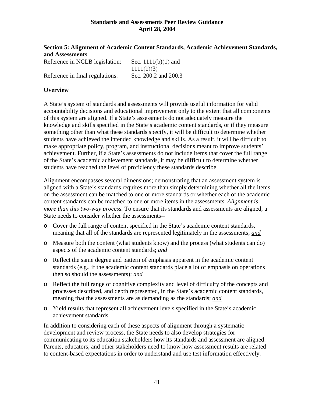| Section 5: Alignment of Academic Content Standards, Academic Achievement Standards, |  |
|-------------------------------------------------------------------------------------|--|
| and Assessments                                                                     |  |

| Reference in NCLB legislation:  | Sec. $1111(b)(1)$ and |
|---------------------------------|-----------------------|
|                                 |                       |
|                                 | 1111(b)(3)            |
|                                 |                       |
|                                 |                       |
| Reference in final regulations: | Sec. 200.2 and 200.3  |
|                                 |                       |

### **Overview**

A State's system of standards and assessments will provide useful information for valid accountability decisions and educational improvement only to the extent that all components of this system are aligned. If a State's assessments do not adequately measure the knowledge and skills specified in the State's academic content standards, or if they measure something other than what these standards specify, it will be difficult to determine whether students have achieved the intended knowledge and skills. As a result, it will be difficult to make appropriate policy, program, and instructional decisions meant to improve students' achievement. Further, if a State's assessments do not include items that cover the full range of the State's academic achievement standards, it may be difficult to determine whether students have reached the level of proficiency these standards describe.

Alignment encompasses several dimensions; demonstrating that an assessment system is aligned with a State's standards requires more than simply determining whether all the items on the assessment can be matched to one or more standards or whether each of the academic content standards can be matched to one or more items in the assessments. *Alignment is more than this two-way process.* To ensure that its standards and assessments are aligned, a State needs to consider whether the assessments--

- o Cover the full range of content specified in the State's academic content standards, meaning that all of the standards are represented legitimately in the assessments; *and*
- o Measure both the content (what students know) and the process (what students can do) aspects of the academic content standards; *and*
- o Reflect the same degree and pattern of emphasis apparent in the academic content standards (e.g., if the academic content standards place a lot of emphasis on operations then so should the assessments); *and*
- o Reflect the full range of cognitive complexity and level of difficulty of the concepts and processes described, and depth represented, in the State's academic content standards, meaning that the assessments are as demanding as the standards; *and*
- o Yield results that represent all achievement levels specified in the State's academic achievement standards.

In addition to considering each of these aspects of alignment through a systematic development and review process, the State needs to also develop strategies for communicating to its education stakeholders how its standards and assessment are aligned. Parents, educators, and other stakeholders need to know how assessment results are related to content-based expectations in order to understand and use test information effectively.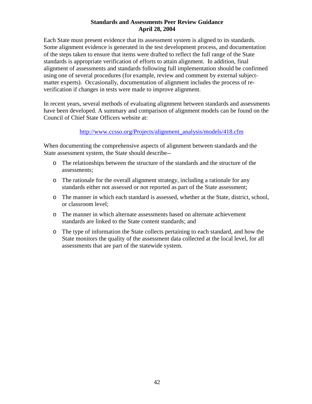Each State must present evidence that its assessment system is aligned to its standards. Some alignment evidence is generated in the test development process, and documentation of the steps taken to ensure that items were drafted to reflect the full range of the State standards is appropriate verification of efforts to attain alignment. In addition, final alignment of assessments and standards following full implementation should be confirmed using one of several procedures (for example, review and comment by external subjectmatter experts). Occasionally, documentation of alignment includes the process of reverification if changes in tests were made to improve alignment.

In recent years, several methods of evaluating alignment between standards and assessments have been developed. A summary and comparison of alignment models can be found on the Council of Chief State Officers website at:

### http://www.ccsso.org/Projects/alignment\_analysis/models/418.cfm

When documenting the comprehensive aspects of alignment between standards and the State assessment system, the State should describe--

- o The relationships between the structure of the standards and the structure of the assessments;
- o The rationale for the overall alignment strategy, including a rationale for any standards either not assessed or not reported as part of the State assessment;
- o The manner in which each standard is assessed, whether at the State, district, school, or classroom level;
- o The manner in which alternate assessments based on alternate achievement standards are linked to the State content standards; and
- o The type of information the State collects pertaining to each standard, and how the State monitors the quality of the assessment data collected at the local level, for all assessments that are part of the statewide system.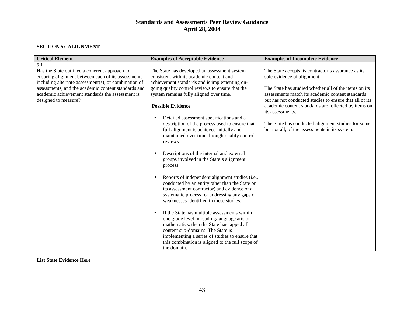#### **SECTION 5: ALIGNMENT**

| <b>Critical Element</b>                                                                              | <b>Examples of Acceptable Evidence</b>                                                                                                                                                                                                                                                                            | <b>Examples of Incomplete Evidence</b>                                                                      |
|------------------------------------------------------------------------------------------------------|-------------------------------------------------------------------------------------------------------------------------------------------------------------------------------------------------------------------------------------------------------------------------------------------------------------------|-------------------------------------------------------------------------------------------------------------|
| 5.1                                                                                                  |                                                                                                                                                                                                                                                                                                                   |                                                                                                             |
| Has the State outlined a coherent approach to<br>ensuring alignment between each of its assessments, | The State has developed an assessment system<br>consistent with its academic content and                                                                                                                                                                                                                          | The State accepts its contractor's assurance as its<br>sole evidence of alignment.                          |
| including alternate assessment(s), or combination of                                                 | achievement standards and is implementing on-                                                                                                                                                                                                                                                                     |                                                                                                             |
| assessments, and the academic content standards and                                                  | going quality control reviews to ensure that the                                                                                                                                                                                                                                                                  | The State has studied whether all of the items on its                                                       |
| academic achievement standards the assessment is<br>designed to measure?                             | system remains fully aligned over time.                                                                                                                                                                                                                                                                           | assessments match its academic content standards<br>but has not conducted studies to ensure that all of its |
|                                                                                                      | <b>Possible Evidence</b>                                                                                                                                                                                                                                                                                          | academic content standards are reflected by items on<br>its assessments.                                    |
|                                                                                                      | Detailed assessment specifications and a<br>$\bullet$                                                                                                                                                                                                                                                             |                                                                                                             |
|                                                                                                      | description of the process used to ensure that<br>full alignment is achieved initially and<br>maintained over time through quality control<br>reviews.                                                                                                                                                            | The State has conducted alignment studies for some,<br>but not all, of the assessments in its system.       |
|                                                                                                      | Descriptions of the internal and external<br>$\bullet$<br>groups involved in the State's alignment<br>process.                                                                                                                                                                                                    |                                                                                                             |
|                                                                                                      | Reports of independent alignment studies (i.e.,<br>$\bullet$<br>conducted by an entity other than the State or<br>its assessment contractor) and evidence of a<br>systematic process for addressing any gaps or<br>weaknesses identified in these studies.                                                        |                                                                                                             |
|                                                                                                      | If the State has multiple assessments within<br>$\bullet$<br>one grade level in reading/language arts or<br>mathematics, then the State has tapped all<br>content sub-domains. The State is<br>implementing a series of studies to ensure that<br>this combination is aligned to the full scope of<br>the domain. |                                                                                                             |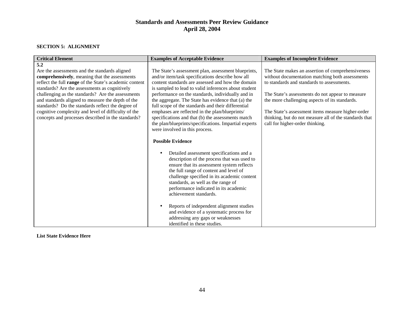#### **SECTION 5: ALIGNMENT**

| <b>Critical Element</b>                                                                                                                                                                                                                                                                                                                                                                                                                                                                      | <b>Examples of Acceptable Evidence</b>                                                                                                                                                                                                                                                                                                                                                                                                                                                                                                                                                                                                                                                                                                                                                                                                                                                                                                                                                                                                                                                                                      | <b>Examples of Incomplete Evidence</b>                                                                                                                                                                                                                                                                                                                                                                     |
|----------------------------------------------------------------------------------------------------------------------------------------------------------------------------------------------------------------------------------------------------------------------------------------------------------------------------------------------------------------------------------------------------------------------------------------------------------------------------------------------|-----------------------------------------------------------------------------------------------------------------------------------------------------------------------------------------------------------------------------------------------------------------------------------------------------------------------------------------------------------------------------------------------------------------------------------------------------------------------------------------------------------------------------------------------------------------------------------------------------------------------------------------------------------------------------------------------------------------------------------------------------------------------------------------------------------------------------------------------------------------------------------------------------------------------------------------------------------------------------------------------------------------------------------------------------------------------------------------------------------------------------|------------------------------------------------------------------------------------------------------------------------------------------------------------------------------------------------------------------------------------------------------------------------------------------------------------------------------------------------------------------------------------------------------------|
| 5.2<br>Are the assessments and the standards aligned<br>comprehensively, meaning that the assessments<br>reflect the full range of the State's academic content<br>standards? Are the assessments as cognitively<br>challenging as the standards? Are the assessments<br>and standards aligned to measure the depth of the<br>standards? Do the standards reflect the degree of<br>cognitive complexity and level of difficulty of the<br>concepts and processes described in the standards? | The State's assessment plan, assessment blueprints,<br>and/or item/task specifications describe how all<br>content standards are assessed and how the domain<br>is sampled to lead to valid inferences about student<br>performance on the standards, individually and in<br>the aggregate. The State has evidence that (a) the<br>full scope of the standards and their differential<br>emphases are reflected in the plan/blueprints/<br>specifications and that (b) the assessments match<br>the plan/blueprints/specifications. Impartial experts<br>were involved in this process.<br><b>Possible Evidence</b><br>Detailed assessment specifications and a<br>description of the process that was used to<br>ensure that its assessment system reflects<br>the full range of content and level of<br>challenge specified in its academic content<br>standards, as well as the range of<br>performance indicated in its academic<br>achievement standards.<br>Reports of independent alignment studies<br>and evidence of a systematic process for<br>addressing any gaps or weaknesses<br>identified in these studies. | The State makes an assertion of comprehensiveness<br>without documentation matching both assessments<br>to standards and standards to assessments.<br>The State's assessments do not appear to measure<br>the more challenging aspects of its standards.<br>The State's assessment items measure higher-order<br>thinking, but do not measure all of the standards that<br>call for higher-order thinking. |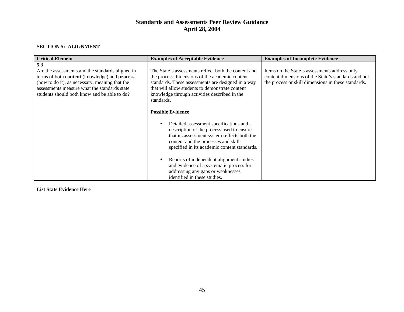#### **SECTION 5: ALIGNMENT**

| <b>Critical Element</b>                                                                                                                                                                                                                                                  | <b>Examples of Acceptable Evidence</b>                                                                                                                                                                                                                                         | <b>Examples of Incomplete Evidence</b>                                                                                                                      |
|--------------------------------------------------------------------------------------------------------------------------------------------------------------------------------------------------------------------------------------------------------------------------|--------------------------------------------------------------------------------------------------------------------------------------------------------------------------------------------------------------------------------------------------------------------------------|-------------------------------------------------------------------------------------------------------------------------------------------------------------|
| 5.3<br>Are the assessments and the standards aligned in<br>terms of both <b>content</b> (knowledge) and <b>process</b><br>(how to do it), as necessary, meaning that the<br>assessments measure what the standards state<br>students should both know and be able to do? | The State's assessments reflect both the content and<br>the process dimensions of the academic content<br>standards. These assessments are designed in a way<br>that will allow students to demonstrate content<br>knowledge through activities described in the<br>standards. | Items on the State's assessments address only<br>content dimensions of the State's standards and not<br>the process or skill dimensions in these standards. |
|                                                                                                                                                                                                                                                                          | <b>Possible Evidence</b><br>Detailed assessment specifications and a<br>description of the process used to ensure<br>that its assessment system reflects both the<br>content and the processes and skills<br>specified in its academic content standards.                      |                                                                                                                                                             |
|                                                                                                                                                                                                                                                                          | Reports of independent alignment studies<br>and evidence of a systematic process for<br>addressing any gaps or weaknesses<br>identified in these studies.                                                                                                                      |                                                                                                                                                             |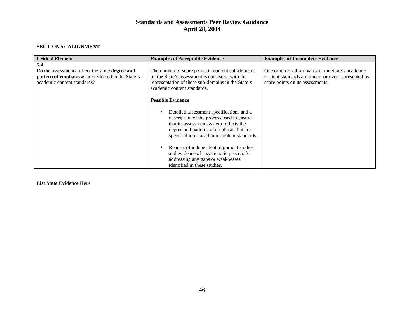#### **SECTION 5: ALIGNMENT**

| <b>Critical Element</b>                                                                                                                            | <b>Examples of Acceptable Evidence</b>                                                                                                                                                                                       | <b>Examples of Incomplete Evidence</b>                                                                                                     |
|----------------------------------------------------------------------------------------------------------------------------------------------------|------------------------------------------------------------------------------------------------------------------------------------------------------------------------------------------------------------------------------|--------------------------------------------------------------------------------------------------------------------------------------------|
| 5.4<br>Do the assessments reflect the same <b>degree and</b><br>pattern of emphasis as are reflected in the State's<br>academic content standards? | The number of score points in content sub-domains<br>on the State's assessment is consistent with the<br>representation of these sub-domains in the State's<br>academic content standards.<br><b>Possible Evidence</b>       | One or more sub-domains in the State's academic<br>content standards are under- or over-represented by<br>score points on its assessments. |
|                                                                                                                                                    | Detailed assessment specifications and a<br>description of the process used to ensure<br>that its assessment system reflects the<br>degree and patterns of emphasis that are<br>specified in its academic content standards. |                                                                                                                                            |
|                                                                                                                                                    | Reports of independent alignment studies<br>and evidence of a systematic process for<br>addressing any gaps or weaknesses<br>identified in these studies.                                                                    |                                                                                                                                            |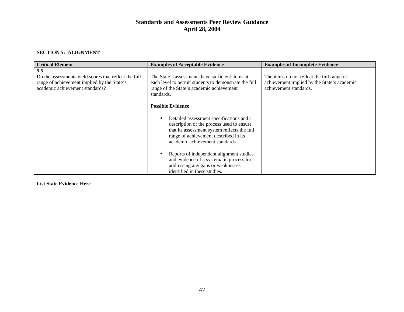#### **SECTION 5: ALIGNMENT**

| <b>Critical Element</b>                                                                                                                        | <b>Examples of Acceptable Evidence</b>                                                                                                                                                                                                       | <b>Examples of Incomplete Evidence</b>                                                                              |
|------------------------------------------------------------------------------------------------------------------------------------------------|----------------------------------------------------------------------------------------------------------------------------------------------------------------------------------------------------------------------------------------------|---------------------------------------------------------------------------------------------------------------------|
| 5.5<br>Do the assessments yield scores that reflect the full<br>range of achievement implied by the State's<br>academic achievement standards? | The State's assessments have sufficient items at<br>each level to permit students to demonstrate the full<br>range of the State's academic achievement<br>standards.                                                                         | The items do not reflect the full range of<br>achievement implied by the State's academic<br>achievement standards. |
|                                                                                                                                                | <b>Possible Evidence</b><br>Detailed assessment specifications and a<br>description of the process used to ensure<br>that its assessment system reflects the full<br>range of achievement described in its<br>academic achievement standards |                                                                                                                     |
|                                                                                                                                                | Reports of independent alignment studies<br>and evidence of a systematic process for<br>addressing any gaps or weaknesses<br>identified in these studies.                                                                                    |                                                                                                                     |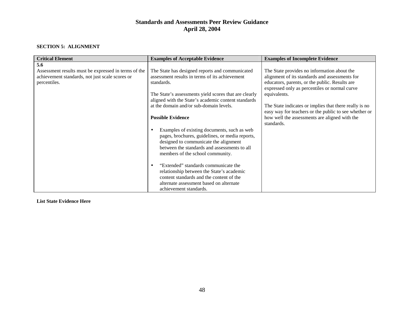#### **SECTION 5: ALIGNMENT**

| <b>Critical Element</b>                              | <b>Examples of Acceptable Evidence</b>                | <b>Examples of Incomplete Evidence</b>                 |
|------------------------------------------------------|-------------------------------------------------------|--------------------------------------------------------|
| 5.6                                                  |                                                       |                                                        |
| Assessment results must be expressed in terms of the | The State has designed reports and communicated       | The State provides no information about the            |
| achievement standards, not just scale scores or      | assessment results in terms of its achievement        | alignment of its standards and assessments for         |
| percentiles.                                         | standards.                                            | educators, parents, or the public. Results are         |
|                                                      |                                                       | expressed only as percentiles or normal curve          |
|                                                      | The State's assessments yield scores that are clearly | equivalents.                                           |
|                                                      | aligned with the State's academic content standards   |                                                        |
|                                                      | at the domain and/or sub-domain levels.               | The State indicates or implies that there really is no |
|                                                      |                                                       | easy way for teachers or the public to see whether or  |
|                                                      | <b>Possible Evidence</b>                              | how well the assessments are aligned with the          |
|                                                      |                                                       | standards.                                             |
|                                                      | Examples of existing documents, such as web           |                                                        |
|                                                      | pages, brochures, guidelines, or media reports,       |                                                        |
|                                                      | designed to communicate the alignment                 |                                                        |
|                                                      | between the standards and assessments to all          |                                                        |
|                                                      | members of the school community.                      |                                                        |
|                                                      | "Extended" standards communicate the<br>$\bullet$     |                                                        |
|                                                      | relationship between the State's academic             |                                                        |
|                                                      | content standards and the content of the              |                                                        |
|                                                      | alternate assessment based on alternate               |                                                        |
|                                                      | achievement standards.                                |                                                        |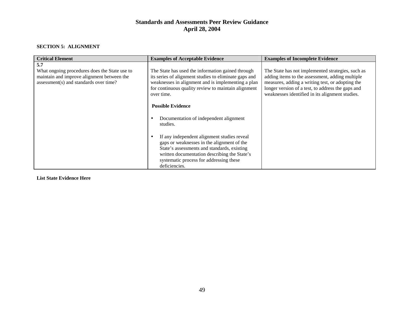#### **SECTION 5: ALIGNMENT**

| <b>Critical Element</b>                                                                                                                      | <b>Examples of Acceptable Evidence</b>                                                                                                                                                                                                               | <b>Examples of Incomplete Evidence</b>                                                                                                                                                                                                                           |
|----------------------------------------------------------------------------------------------------------------------------------------------|------------------------------------------------------------------------------------------------------------------------------------------------------------------------------------------------------------------------------------------------------|------------------------------------------------------------------------------------------------------------------------------------------------------------------------------------------------------------------------------------------------------------------|
| 5.7<br>What ongoing procedures does the State use to<br>maintain and improve alignment between the<br>assessment(s) and standards over time? | The State has used the information gained through<br>its series of alignment studies to eliminate gaps and<br>weaknesses in alignment and is implementing a plan<br>for continuous quality review to maintain alignment<br>over time.                | The State has not implemented strategies, such as<br>adding items to the assessment, adding multiple<br>measures, adding a writing test, or adopting the<br>longer version of a test, to address the gaps and<br>weaknesses identified in its alignment studies. |
|                                                                                                                                              | <b>Possible Evidence</b><br>Documentation of independent alignment<br>studies.                                                                                                                                                                       |                                                                                                                                                                                                                                                                  |
|                                                                                                                                              | If any independent alignment studies reveal<br>gaps or weaknesses in the alignment of the<br>State's assessments and standards, existing<br>written documentation describing the State's<br>systematic process for addressing these<br>deficiencies. |                                                                                                                                                                                                                                                                  |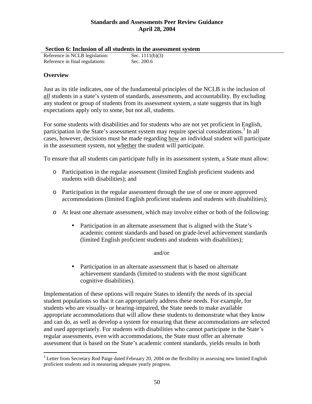|  |  |  |  | Section 6: Inclusion of all students in the assessment system |
|--|--|--|--|---------------------------------------------------------------|
|  |  |  |  |                                                               |

| Dechon of Inclusion of an stauchts in the assest |                   |
|--------------------------------------------------|-------------------|
| Reference in NCLB legislation:                   | Sec. $1111(b)(3)$ |
| Reference in final regulations:                  | Sec. 200.6        |

### **Overview**

Just as its title indicates, one of the fundamental principles of the NCLB is the inclusion of *all* students in a state's system of standards, assessments, and accountability. By excluding any student or group of students from its assessment system, a state suggests that its high expectations apply only to some, but not all, students.

For some students with disabilities and for students who are not yet proficient in English, participation in the State's assessment system may require special considerations.<sup>3</sup> In all cases, however, decisions must be made regarding how an individual student will participate in the assessment system, not whether the student will participate.

To ensure that all students can participate fully in its assessment system, a State must allow:

- o Participation in the regular assessment (limited English proficient students and students with disabilities); and
- o Participation in the regular assessment through the use of one or more approved accommodations (limited English proficient students and students with disabilities);
- o At least one alternate assessment, which may involve either or both of the following:
	- Participation in an alternate assessment that is aligned with the State's academic content standards and based on grade-level achievement standards (limited English proficient students and students with disabilities);

#### and/or

• Participation in an alternate assessment that is based on alternate achievement standards (limited to students with the most significant cognitive disabilities).

Implementation of these options will require States to identify the needs of its special student populations so that it can appropriately address these needs. For example, for students who are visually- or hearing-impaired, the State needs to make available appropriate accommodations that will allow these students to demonstrate what they know and can do, as well as develop a system for ensuring that these accommodations are selected and used appropriately. For students with disabilities who cannot participate in the State's regular assessments, even with accommodations, the State must offer an alternate assessment that is based on the State's academic content standards, yields results in both

 $\overline{a}$  $3$  Letter from Secretary Rod Paige dated February 20, 2004 on the flexibility in assessing new limited English proficient students and in measuring adequate yearly progress.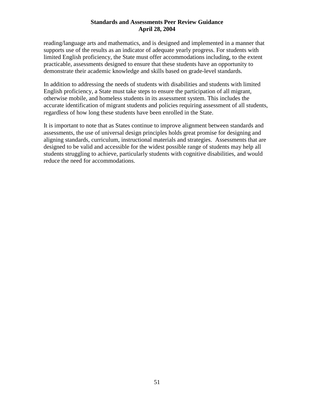reading/language arts and mathematics, and is designed and implemented in a manner that supports use of the results as an indicator of adequate yearly progress. For students with limited English proficiency, the State must offer accommodations including, to the extent practicable, assessments designed to ensure that these students have an opportunity to demonstrate their academic knowledge and skills based on grade-level standards.

In addition to addressing the needs of students with disabilities and students with limited English proficiency, a State must take steps to ensure the participation of all migrant, otherwise mobile, and homeless students in its assessment system. This includes the accurate identification of migrant students and policies requiring assessment of all students, regardless of how long these students have been enrolled in the State.

It is important to note that as States continue to improve alignment between standards and assessments, the use of universal design principles holds great promise for designing and aligning standards, curriculum, instructional materials and strategies. Assessments that are designed to be valid and accessible for the widest possible range of students may help all students struggling to achieve, particularly students with cognitive disabilities, and would reduce the need for accommodations.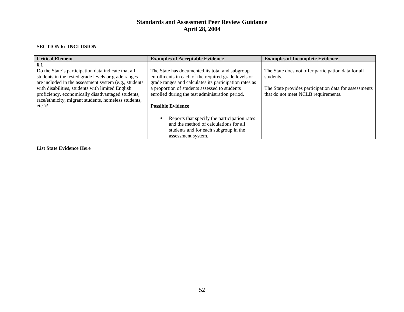#### **SECTION 6: INCLUSION**

| <b>Critical Element</b>                                                                                                                                                                                                                                                             | <b>Examples of Acceptable Evidence</b>                                                                                                                                                                                                                               | <b>Examples of Incomplete Evidence</b>                                                                                                                           |
|-------------------------------------------------------------------------------------------------------------------------------------------------------------------------------------------------------------------------------------------------------------------------------------|----------------------------------------------------------------------------------------------------------------------------------------------------------------------------------------------------------------------------------------------------------------------|------------------------------------------------------------------------------------------------------------------------------------------------------------------|
| 6.1<br>Do the State's participation data indicate that all<br>students in the tested grade levels or grade ranges<br>are included in the assessment system (e.g., students<br>with disabilities, students with limited English<br>proficiency, economically disadvantaged students, | The State has documented its total and subgroup<br>enrollments in each of the required grade levels or<br>grade ranges and calculates its participation rates as<br>a proportion of students assessed to students<br>enrolled during the test administration period. | The State does not offer participation data for all<br>students.<br>The State provides participation data for assessments<br>that do not meet NCLB requirements. |
| race/ethnicity, migrant students, homeless students,<br>$etc.$ )?                                                                                                                                                                                                                   | <b>Possible Evidence</b>                                                                                                                                                                                                                                             |                                                                                                                                                                  |
|                                                                                                                                                                                                                                                                                     | Reports that specify the participation rates<br>and the method of calculations for all<br>students and for each subgroup in the<br>assessment system.                                                                                                                |                                                                                                                                                                  |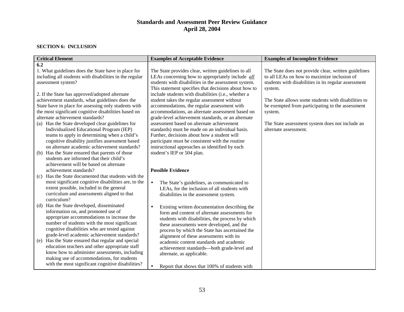#### **SECTION 6: INCLUSION**

| <b>Critical Element</b>                                                                                 | <b>Examples of Acceptable Evidence</b>                  | <b>Examples of Incomplete Evidence</b>               |
|---------------------------------------------------------------------------------------------------------|---------------------------------------------------------|------------------------------------------------------|
| 6.2                                                                                                     |                                                         |                                                      |
| 1. What guidelines does the State have in place for                                                     | The State provides clear, written guidelines to all     | The State does not provide clear, written guidelines |
| including all students with disabilities in the regular                                                 | LEAs concerning how to appropriately include <i>all</i> | to all LEAs on how to maximize inclusion of          |
| assessment system?                                                                                      | students with disabilities in the assessment system.    | students with disabilities in its regular assessment |
|                                                                                                         | This statement specifies that decisions about how to    | system.                                              |
| 2. If the State has approved/adopted alternate                                                          | include students with disabilities (i.e., whether a     |                                                      |
| achievement standards, what guidelines does the                                                         | student takes the regular assessment without            | The State allows some students with disabilities to  |
| State have in place for assessing only students with                                                    | accommodations, the regular assessment with             | be exempted from participating in the assessment     |
| the most significant cognitive disabilities based on                                                    | accommodations, an alternate assessment based on        | system.                                              |
| alternate achievement standards?                                                                        | grade-level achievement standards, or an alternate      |                                                      |
| (a) Has the State developed clear guidelines for                                                        | assessment based on alternate achievement               | The State assessment system does not include an      |
| Individualized Educational Program (IEP)                                                                | standards) must be made on an individual basis.         | alternate assessment.                                |
| teams to apply in determining when a child's                                                            | Further, decisions about how a student will             |                                                      |
| cognitive disability justifies assessment based                                                         | participate must be consistent with the routine         |                                                      |
| on alternate academic achievement standards?                                                            | instructional approaches as identified by each          |                                                      |
| Has the State ensured that parents of those<br>(b)                                                      | student's IEP or 504 plan.                              |                                                      |
| students are informed that their child's                                                                |                                                         |                                                      |
| achievement will be based on alternate                                                                  |                                                         |                                                      |
| achievement standards?                                                                                  | <b>Possible Evidence</b>                                |                                                      |
| Has the State documented that students with the<br>(c)                                                  |                                                         |                                                      |
| most significant cognitive disabilities are, to the                                                     | The State's guidelines, as communicated to<br>$\bullet$ |                                                      |
| extent possible, included in the general                                                                | LEAs, for the inclusion of all students with            |                                                      |
| curriculum and assessments aligned to that                                                              | disabilities in the assessment system.                  |                                                      |
| curriculum?                                                                                             |                                                         |                                                      |
| (d) Has the State developed, disseminated                                                               | Existing written documentation describing the           |                                                      |
| information on, and promoted use of                                                                     | form and content of alternate assessments for           |                                                      |
| appropriate accommodations to increase the                                                              | students with disabilities, the process by which        |                                                      |
| number of students with the most significant                                                            | these assessments were developed, and the               |                                                      |
| cognitive disabilities who are tested against                                                           | process by which the State has ascertained the          |                                                      |
| grade-level academic achievement standards?                                                             | alignment of these assessments with its                 |                                                      |
| Has the State ensured that regular and special<br>(e)<br>education teachers and other appropriate staff | academic content standards and academic                 |                                                      |
| know how to administer assessments, including                                                           | achievement standards-both grade-level and              |                                                      |
| making use of accommodations, for students                                                              | alternate, as applicable.                               |                                                      |
| with the most significant cognitive disabilities?                                                       |                                                         |                                                      |
|                                                                                                         | Report that shows that 100% of students with            |                                                      |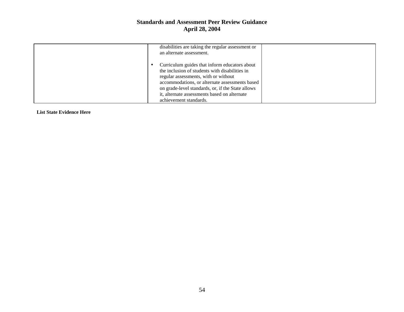| disabilities are taking the regular assessment or<br>an alternate assessment.                                                                                                                                                                                                                                            |  |
|--------------------------------------------------------------------------------------------------------------------------------------------------------------------------------------------------------------------------------------------------------------------------------------------------------------------------|--|
| Curriculum guides that inform educators about<br>the inclusion of students with disabilities in<br>regular assessments, with or without<br>accommodations, or alternate assessments based<br>on grade-level standards, or, if the State allows<br>it, alternate assessments based on alternate<br>achievement standards. |  |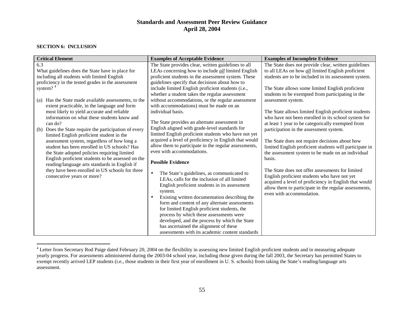#### **SECTION 6: INCLUSION**

| <b>Critical Element</b>                                                                     | <b>Examples of Acceptable Evidence</b>                    | <b>Examples of Incomplete Evidence</b>                                                                       |
|---------------------------------------------------------------------------------------------|-----------------------------------------------------------|--------------------------------------------------------------------------------------------------------------|
| 6.3                                                                                         | The State provides clear, written guidelines to all       | The State does not provide clear, written guidelines                                                         |
| What guidelines does the State have in place for                                            | LEAs concerning how to include <i>all</i> limited English | to all LEAs on how <i>all</i> limited English proficient                                                     |
| including all students with limited English                                                 | proficient students in the assessment system. These       | students are to be included in its assessment system.                                                        |
| proficiency in the tested grades in the assessment                                          | guidelines specify that decisions about how to            |                                                                                                              |
| system? <sup>4</sup>                                                                        | include limited English proficient students (i.e.,        | The State allows some limited English proficient                                                             |
|                                                                                             | whether a student takes the regular assessment            | students to be exempted from participating in the                                                            |
| Has the State made available assessments, to the<br>(a)                                     | without accommodations, or the regular assessment         | assessment system.                                                                                           |
| extent practicable, in the language and form                                                | with accommodations) must be made on an                   |                                                                                                              |
| most likely to yield accurate and reliable                                                  | individual basis.                                         | The State allows limited English proficient students                                                         |
| information on what these students know and                                                 | The State provides an alternate assessment in             | who have not been enrolled in its school system for                                                          |
| can do?                                                                                     | English aligned with grade-level standards for            | at least 1 year to be categorically exempted from                                                            |
| Does the State require the participation of every<br>(b)                                    | limited English proficient students who have not yet      | participation in the assessment system.                                                                      |
| limited English proficient student in the                                                   | acquired a level of proficiency in English that would     |                                                                                                              |
| assessment system, regardless of how long a<br>student has been enrolled in US schools? Has | allow them to participate in the regular assessments,     | The State does not require decisions about how                                                               |
| the State adopted policies requiring limited                                                | even with accommodations.                                 | limited English proficient students will participate in<br>the assessment system to be made on an individual |
| English proficient students to be assessed on the                                           |                                                           | basis.                                                                                                       |
| reading/language arts standards in English if                                               | <b>Possible Evidence</b>                                  |                                                                                                              |
| they have been enrolled in US schools for three                                             |                                                           | The State does not offer assessments for limited                                                             |
| consecutive years or more?                                                                  | The State's guidelines, as communicated to                | English proficient students who have not yet                                                                 |
|                                                                                             | LEAs, calls for the inclusion of all limited              | acquired a level of proficiency in English that would                                                        |
|                                                                                             | English proficient students in its assessment             | allow them to participate in the regular assessments,                                                        |
|                                                                                             | system.                                                   | even with accommodation.                                                                                     |
|                                                                                             | Existing written documentation describing the             |                                                                                                              |
|                                                                                             | form and content of any alternate assessments             |                                                                                                              |
|                                                                                             | for limited English proficient students, the              |                                                                                                              |
|                                                                                             | process by which these assessments were                   |                                                                                                              |
|                                                                                             | developed, and the process by which the State             |                                                                                                              |
|                                                                                             | has ascertained the alignment of these                    |                                                                                                              |
|                                                                                             | assessments with its academic content standards           |                                                                                                              |

<sup>&</sup>lt;sup>4</sup> Letter from Secretary Rod Paige dated February 20, 2004 on the flexibility in assessing new limited English proficient students and in measuring adequate yearly progress. For assessments administered during the 2003-04 school year, including those given during the fall 2003, the Secretary has permitted States to exempt recently arrived LEP students (i.e., those students in their first year of enrollment in U. S. schools) from taking the State's reading/language arts assessment.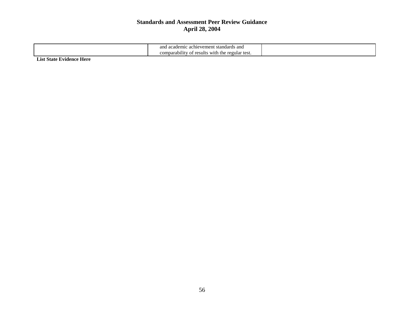| an<br>c achievement standards and<br>d academic-                  |  |
|-------------------------------------------------------------------|--|
| $\cdots$<br>regular test.<br>comparability of results<br>with the |  |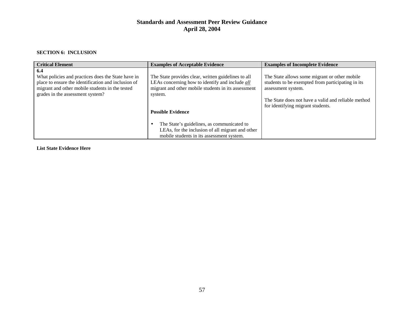#### **SECTION 6: INCLUSION**

| <b>Critical Element</b>                                                                                                                                                                                 | <b>Examples of Acceptable Evidence</b>                                                                                                                                                                                                                                                                                                              | <b>Examples of Incomplete Evidence</b>                                                                                                                                                                               |
|---------------------------------------------------------------------------------------------------------------------------------------------------------------------------------------------------------|-----------------------------------------------------------------------------------------------------------------------------------------------------------------------------------------------------------------------------------------------------------------------------------------------------------------------------------------------------|----------------------------------------------------------------------------------------------------------------------------------------------------------------------------------------------------------------------|
| 6.4<br>What policies and practices does the State have in<br>place to ensure the identification and inclusion of<br>migrant and other mobile students in the tested<br>grades in the assessment system? | The State provides clear, written guidelines to all<br>LEAs concerning how to identify and include all<br>migrant and other mobile students in its assessment<br>system.<br><b>Possible Evidence</b><br>The State's guidelines, as communicated to<br>LEAs, for the inclusion of all migrant and other<br>mobile students in its assessment system. | The State allows some migrant or other mobile<br>students to be exempted from participating in its<br>assessment system.<br>The State does not have a valid and reliable method<br>for identifying migrant students. |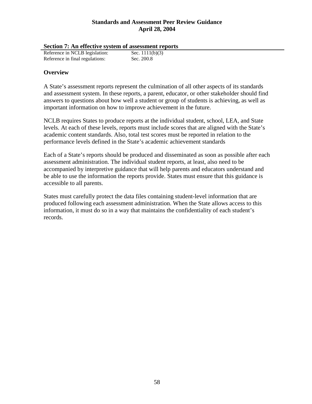|  | Section 7: An effective system of assessment reports |
|--|------------------------------------------------------|
|  |                                                      |

| Reference in NCLB legislation:  | Sec. $1111(b)(3)$ |
|---------------------------------|-------------------|
| Reference in final regulations: | Sec. 200.8        |

### **Overview**

A State's assessment reports represent the culmination of all other aspects of its standards and assessment system. In these reports, a parent, educator, or other stakeholder should find answers to questions about how well a student or group of students is achieving, as well as important information on how to improve achievement in the future.

NCLB requires States to produce reports at the individual student, school, LEA, and State levels. At each of these levels, reports must include scores that are aligned with the State's academic content standards. Also, total test scores must be reported in relation to the performance levels defined in the State's academic achievement standards

Each of a State's reports should be produced and disseminated as soon as possible after each assessment administration. The individual student reports, at least, also need to be accompanied by interpretive guidance that will help parents and educators understand and be able to use the information the reports provide. States must ensure that this guidance is accessible to all parents.

States must carefully protect the data files containing student-level information that are produced following each assessment administration. When the State allows access to this information, it must do so in a way that maintains the confidentiality of each student's records.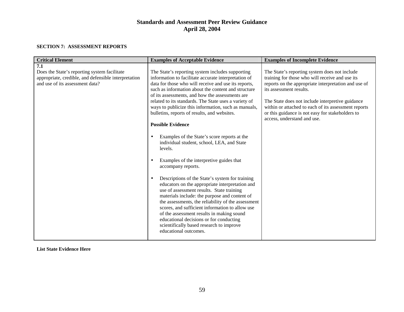#### **SECTION 7: ASSESSMENT REPORTS**

| <b>Critical Element</b>                                                                                                                        | <b>Examples of Acceptable Evidence</b>                                                                                                                                                                                                                                                                                                                                                                                                                                                                                                                                                                                                                                                                                                                                                                                                                                                                                                                                                                                                                                                                                                                              | <b>Examples of Incomplete Evidence</b>                                                                                                                                                                                                                                                                                                                                             |
|------------------------------------------------------------------------------------------------------------------------------------------------|---------------------------------------------------------------------------------------------------------------------------------------------------------------------------------------------------------------------------------------------------------------------------------------------------------------------------------------------------------------------------------------------------------------------------------------------------------------------------------------------------------------------------------------------------------------------------------------------------------------------------------------------------------------------------------------------------------------------------------------------------------------------------------------------------------------------------------------------------------------------------------------------------------------------------------------------------------------------------------------------------------------------------------------------------------------------------------------------------------------------------------------------------------------------|------------------------------------------------------------------------------------------------------------------------------------------------------------------------------------------------------------------------------------------------------------------------------------------------------------------------------------------------------------------------------------|
| 7.1<br>Does the State's reporting system facilitate<br>appropriate, credible, and defensible interpretation<br>and use of its assessment data? | The State's reporting system includes supporting<br>information to facilitate accurate interpretation of<br>data for those who will receive and use its reports,<br>such as information about the content and structure<br>of its assessments, and how the assessments are<br>related to its standards. The State uses a variety of<br>ways to publicize this information, such as manuals,<br>bulletins, reports of results, and websites.<br><b>Possible Evidence</b><br>Examples of the State's score reports at the<br>$\bullet$<br>individual student, school, LEA, and State<br>levels.<br>Examples of the interpretive guides that<br>$\bullet$<br>accompany reports.<br>Descriptions of the State's system for training<br>$\bullet$<br>educators on the appropriate interpretation and<br>use of assessment results. State training<br>materials include: the purpose and content of<br>the assessments, the reliability of the assessment<br>scores, and sufficient information to allow use<br>of the assessment results in making sound<br>educational decisions or for conducting<br>scientifically based research to improve<br>educational outcomes. | The State's reporting system does not include<br>training for those who will receive and use its<br>reports on the appropriate interpretation and use of<br>its assessment results.<br>The State does not include interpretive guidance<br>within or attached to each of its assessment reports<br>or this guidance is not easy for stakeholders to<br>access, understand and use. |
|                                                                                                                                                |                                                                                                                                                                                                                                                                                                                                                                                                                                                                                                                                                                                                                                                                                                                                                                                                                                                                                                                                                                                                                                                                                                                                                                     |                                                                                                                                                                                                                                                                                                                                                                                    |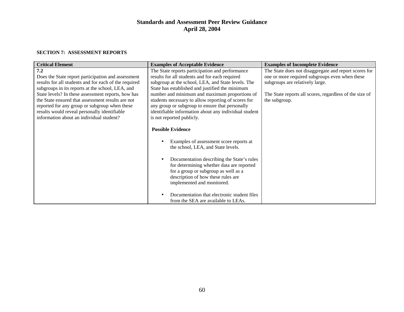#### **SECTION 7: ASSESSMENT REPORTS**

| <b>Critical Element</b>                               | <b>Examples of Acceptable Evidence</b>                                                                                                                                                                           | <b>Examples of Incomplete Evidence</b>                  |
|-------------------------------------------------------|------------------------------------------------------------------------------------------------------------------------------------------------------------------------------------------------------------------|---------------------------------------------------------|
| 7.2                                                   | The State reports participation and performance                                                                                                                                                                  | The State does not disaggregate and report scores for   |
| Does the State report participation and assessment    | results for all students and for each required                                                                                                                                                                   | one or more required subgroups even when these          |
| results for all students and for each of the required | subgroup at the school, LEA, and State levels. The                                                                                                                                                               | subgroups are relatively large.                         |
| subgroups in its reports at the school, LEA, and      | State has established and justified the minimum                                                                                                                                                                  |                                                         |
| State levels? In these assessment reports, how has    | number and minimum and maximum proportions of                                                                                                                                                                    | The State reports all scores, regardless of the size of |
| the State ensured that assessment results are not     | students necessary to allow reporting of scores for                                                                                                                                                              | the subgroup.                                           |
| reported for any group or subgroup when these         | any group or subgroup to ensure that personally                                                                                                                                                                  |                                                         |
| results would reveal personally identifiable          | identifiable information about any individual student                                                                                                                                                            |                                                         |
| information about an individual student?              | is not reported publicly.                                                                                                                                                                                        |                                                         |
|                                                       |                                                                                                                                                                                                                  |                                                         |
|                                                       | <b>Possible Evidence</b>                                                                                                                                                                                         |                                                         |
|                                                       | Examples of assessment score reports at<br>the school, LEA, and State levels.<br>Documentation describing the State's rules<br>for determining whether data are reported<br>for a group or subgroup as well as a |                                                         |
|                                                       | description of how these rules are<br>implemented and monitored.                                                                                                                                                 |                                                         |
|                                                       | Documentation that electronic student files<br>from the SEA are available to LEAs.                                                                                                                               |                                                         |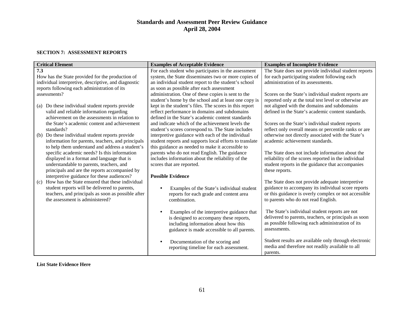#### **SECTION 7: ASSESSMENT REPORTS**

| <b>Critical Element</b>                                                                                 | <b>Examples of Acceptable Evidence</b>                                                                  | <b>Examples of Incomplete Evidence</b>                                                                      |
|---------------------------------------------------------------------------------------------------------|---------------------------------------------------------------------------------------------------------|-------------------------------------------------------------------------------------------------------------|
| 7.3                                                                                                     | For each student who participates in the assessment                                                     | The State does not provide individual student reports                                                       |
| How has the State provided for the production of                                                        | system, the State disseminates two or more copies of                                                    | for each participating student following each                                                               |
| individual interpretive, descriptive, and diagnostic                                                    | an individual student report to the student's school                                                    | administration of its assessments.                                                                          |
| reports following each administration of its                                                            | as soon as possible after each assessment                                                               |                                                                                                             |
| assessments?                                                                                            | administration. One of these copies is sent to the                                                      | Scores on the State's individual student reports are                                                        |
|                                                                                                         | student's home by the school and at least one copy is                                                   | reported only at the total test level or otherwise are                                                      |
| (a) Do these individual student reports provide                                                         | kept in the student's files. The scores in this report                                                  | not aligned with the domains and subdomains                                                                 |
| valid and reliable information regarding                                                                | reflect performance in domains and subdomains                                                           | defined in the State's academic content standards.                                                          |
| achievement on the assessments in relation to                                                           | defined in the State's academic content standards                                                       |                                                                                                             |
| the State's academic content and achievement                                                            | and indicate which of the achievement levels the                                                        | Scores on the State's individual student reports                                                            |
| standards?                                                                                              | student's scores correspond to. The State includes<br>interpretive guidance with each of the individual | reflect only overall means or percentile ranks or are<br>otherwise not directly associated with the State's |
| Do these individual student reports provide<br>(b)<br>information for parents, teachers, and principals | student reports and supports local efforts to translate                                                 | academic achievement standards.                                                                             |
| to help them understand and address a student's                                                         | this guidance as needed to make it accessible to                                                        |                                                                                                             |
| specific academic needs? Is this information                                                            | parents who do not read English. The guidance                                                           | The State does not include information about the                                                            |
| displayed in a format and language that is                                                              | includes information about the reliability of the                                                       | reliability of the scores reported in the individual                                                        |
| understandable to parents, teachers, and                                                                | scores that are reported.                                                                               | student reports in the guidance that accompanies                                                            |
| principals and are the reports accompanied by                                                           |                                                                                                         | these reports.                                                                                              |
| interpretive guidance for these audiences?                                                              | <b>Possible Evidence</b>                                                                                |                                                                                                             |
| How has the State ensured that these individual<br>(c)                                                  |                                                                                                         | The State does not provide adequate interpretive                                                            |
| student reports will be delivered to parents,                                                           | Examples of the State's individual student                                                              | guidance to accompany its individual score reports                                                          |
| teachers, and principals as soon as possible after                                                      | reports for each grade and content area                                                                 | or this guidance is overly complex or not accessible                                                        |
| the assessment is administered?                                                                         | combination.                                                                                            | to parents who do not read English.                                                                         |
|                                                                                                         |                                                                                                         |                                                                                                             |
|                                                                                                         | Examples of the interpretive guidance that                                                              | The State's individual student reports are not                                                              |
|                                                                                                         | is designed to accompany these reports,                                                                 | delivered to parents, teachers, or principals as soon                                                       |
|                                                                                                         | including information about how this                                                                    | as possible following each administration of its                                                            |
|                                                                                                         | guidance is made accessible to all parents.                                                             | assessments.                                                                                                |
|                                                                                                         |                                                                                                         |                                                                                                             |
|                                                                                                         | Documentation of the scoring and                                                                        | Student results are available only through electronic                                                       |
|                                                                                                         | reporting timeline for each assessment.                                                                 | media and therefore not readily available to all                                                            |
|                                                                                                         |                                                                                                         | parents.                                                                                                    |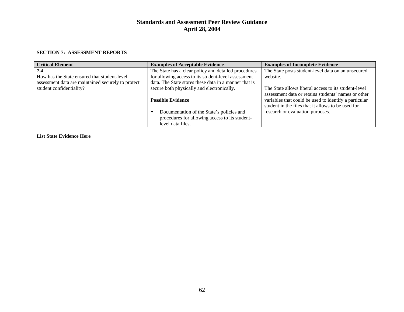#### **SECTION 7: ASSESSMENT REPORTS**

| <b>Critical Element</b>                            | <b>Examples of Acceptable Evidence</b>                                                                           | <b>Examples of Incomplete Evidence</b>                                                                                                                             |
|----------------------------------------------------|------------------------------------------------------------------------------------------------------------------|--------------------------------------------------------------------------------------------------------------------------------------------------------------------|
| 7.4                                                | The State has a clear policy and detailed procedures                                                             | The State posts student-level data on an unsecured                                                                                                                 |
| How has the State ensured that student-level       | for allowing access to its student-level assessment                                                              | website.                                                                                                                                                           |
| assessment data are maintained securely to protect | data. The State stores these data in a manner that is                                                            |                                                                                                                                                                    |
| student confidentiality?                           | secure both physically and electronically.                                                                       | The State allows liberal access to its student-level                                                                                                               |
|                                                    | <b>Possible Evidence</b>                                                                                         | assessment data or retains students' names or other<br>variables that could be used to identify a particular<br>student in the files that it allows to be used for |
|                                                    | Documentation of the State's policies and<br>procedures for allowing access to its student-<br>level data files. | research or evaluation purposes.                                                                                                                                   |